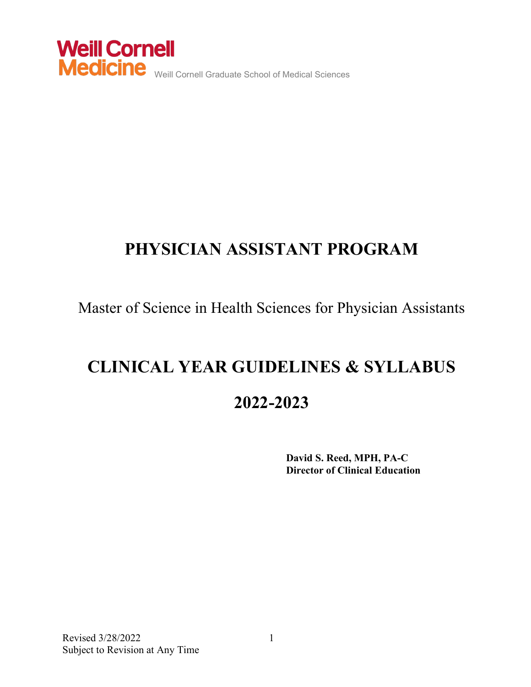

## **PHYSICIAN ASSISTANT PROGRAM**

Master of Science in Health Sciences for Physician Assistants

# **CLINICAL YEAR GUIDELINES & SYLLABUS 2022-2023**

 **David S. Reed, MPH, PA-C Director of Clinical Education**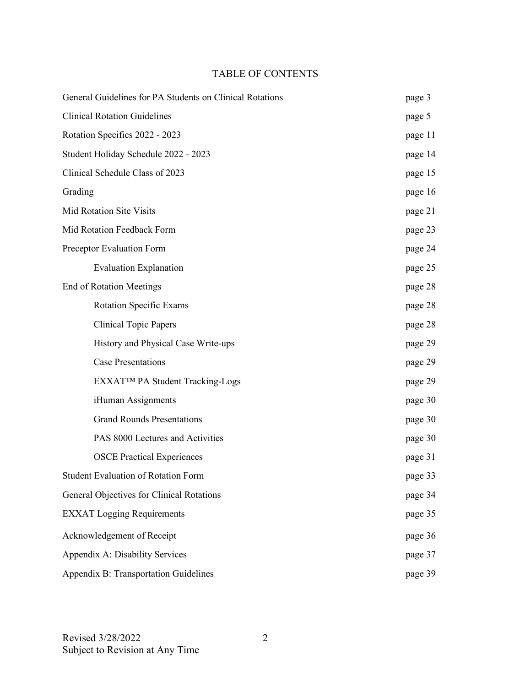#### TABLE OF CONTENTS

| General Guidelines for PA Students on Clinical Rotations | page 3  |  |  |
|----------------------------------------------------------|---------|--|--|
| <b>Clinical Rotation Guidelines</b>                      |         |  |  |
| Rotation Specifics 2022 - 2023                           | page 11 |  |  |
| Student Holiday Schedule 2022 - 2023                     | page 14 |  |  |
| Clinical Schedule Class of 2023                          | page 15 |  |  |
| Grading                                                  | page 16 |  |  |
| <b>Mid Rotation Site Visits</b>                          | page 21 |  |  |
| Mid Rotation Feedback Form                               | page 23 |  |  |
| Preceptor Evaluation Form                                | page 24 |  |  |
| <b>Evaluation Explanation</b>                            | page 25 |  |  |
| <b>End of Rotation Meetings</b>                          | page 28 |  |  |
| <b>Rotation Specific Exams</b>                           | page 28 |  |  |
| <b>Clinical Topic Papers</b>                             | page 28 |  |  |
| History and Physical Case Write-ups                      | page 29 |  |  |
| <b>Case Presentations</b>                                | page 29 |  |  |
| EXXAT™ PA Student Tracking-Logs                          | page 29 |  |  |
| iHuman Assignments                                       | page 30 |  |  |
| <b>Grand Rounds Presentations</b>                        | page 30 |  |  |
| PAS 8000 Lectures and Activities                         | page 30 |  |  |
| <b>OSCE Practical Experiences</b>                        | page 31 |  |  |
| Student Evaluation of Rotation Form                      | page 33 |  |  |
| General Objectives for Clinical Rotations                | page 34 |  |  |
| <b>EXXAT Logging Requirements</b>                        | page 35 |  |  |
| Acknowledgement of Receipt                               | page 36 |  |  |
| Appendix A: Disability Services                          | page 37 |  |  |
| Appendix B: Transportation Guidelines                    | page 39 |  |  |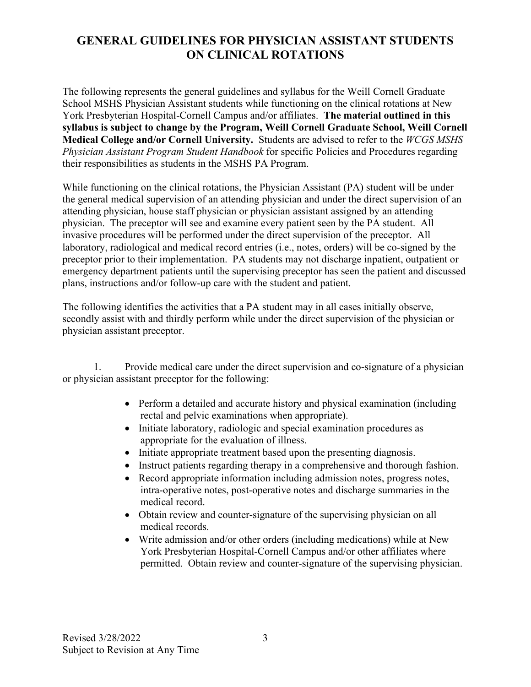### **GENERAL GUIDELINES FOR PHYSICIAN ASSISTANT STUDENTS ON CLINICAL ROTATIONS**

The following represents the general guidelines and syllabus for the Weill Cornell Graduate School MSHS Physician Assistant students while functioning on the clinical rotations at New York Presbyterian Hospital-Cornell Campus and/or affiliates. **The material outlined in this syllabus is subject to change by the Program, Weill Cornell Graduate School, Weill Cornell Medical College and/or Cornell University.** Students are advised to refer to the *WCGS MSHS Physician Assistant Program Student Handbook* for specific Policies and Procedures regarding their responsibilities as students in the MSHS PA Program.

While functioning on the clinical rotations, the Physician Assistant (PA) student will be under the general medical supervision of an attending physician and under the direct supervision of an attending physician, house staff physician or physician assistant assigned by an attending physician. The preceptor will see and examine every patient seen by the PA student. All invasive procedures will be performed under the direct supervision of the preceptor. All laboratory, radiological and medical record entries (i.e., notes, orders) will be co-signed by the preceptor prior to their implementation. PA students may not discharge inpatient, outpatient or emergency department patients until the supervising preceptor has seen the patient and discussed plans, instructions and/or follow-up care with the student and patient.

The following identifies the activities that a PA student may in all cases initially observe, secondly assist with and thirdly perform while under the direct supervision of the physician or physician assistant preceptor.

 1. Provide medical care under the direct supervision and co-signature of a physician or physician assistant preceptor for the following:

- Perform a detailed and accurate history and physical examination (including rectal and pelvic examinations when appropriate).
- Initiate laboratory, radiologic and special examination procedures as appropriate for the evaluation of illness.
- Initiate appropriate treatment based upon the presenting diagnosis.
- Instruct patients regarding therapy in a comprehensive and thorough fashion.
- Record appropriate information including admission notes, progress notes, intra-operative notes, post-operative notes and discharge summaries in the medical record.
- Obtain review and counter-signature of the supervising physician on all medical records.
- Write admission and/or other orders (including medications) while at New York Presbyterian Hospital-Cornell Campus and/or other affiliates where permitted. Obtain review and counter-signature of the supervising physician.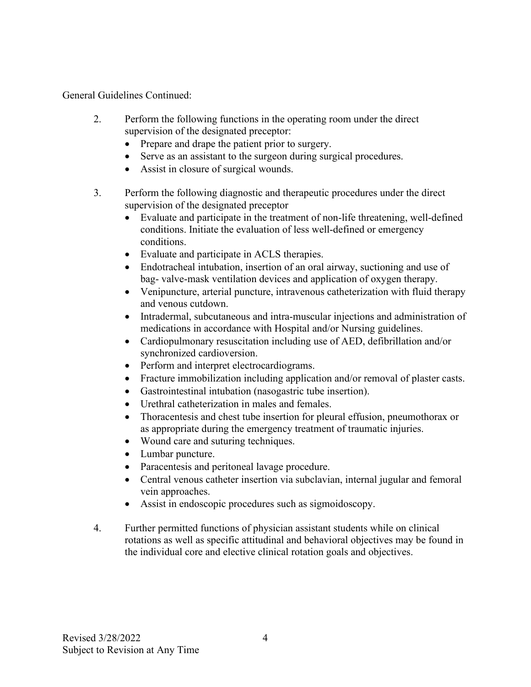General Guidelines Continued:

- 2. Perform the following functions in the operating room under the direct supervision of the designated preceptor:
	- Prepare and drape the patient prior to surgery.
	- Serve as an assistant to the surgeon during surgical procedures.
	- Assist in closure of surgical wounds.
- 3. Perform the following diagnostic and therapeutic procedures under the direct supervision of the designated preceptor
	- Evaluate and participate in the treatment of non-life threatening, well-defined conditions. Initiate the evaluation of less well-defined or emergency conditions.
	- Evaluate and participate in ACLS therapies.
	- Endotracheal intubation, insertion of an oral airway, suctioning and use of bag- valve-mask ventilation devices and application of oxygen therapy.
	- Venipuncture, arterial puncture, intravenous catheterization with fluid therapy and venous cutdown.
	- Intradermal, subcutaneous and intra-muscular injections and administration of medications in accordance with Hospital and/or Nursing guidelines.
	- Cardiopulmonary resuscitation including use of AED, defibrillation and/or synchronized cardioversion.
	- Perform and interpret electrocardiograms.
	- Fracture immobilization including application and/or removal of plaster casts.
	- Gastrointestinal intubation (nasogastric tube insertion).
	- Urethral catheterization in males and females.
	- Thoracentesis and chest tube insertion for pleural effusion, pneumothorax or as appropriate during the emergency treatment of traumatic injuries.
	- Wound care and suturing techniques.
	- Lumbar puncture.
	- Paracentesis and peritoneal lavage procedure.
	- Central venous catheter insertion via subclavian, internal jugular and femoral vein approaches.
	- Assist in endoscopic procedures such as sigmoidoscopy.
- 4. Further permitted functions of physician assistant students while on clinical rotations as well as specific attitudinal and behavioral objectives may be found in the individual core and elective clinical rotation goals and objectives.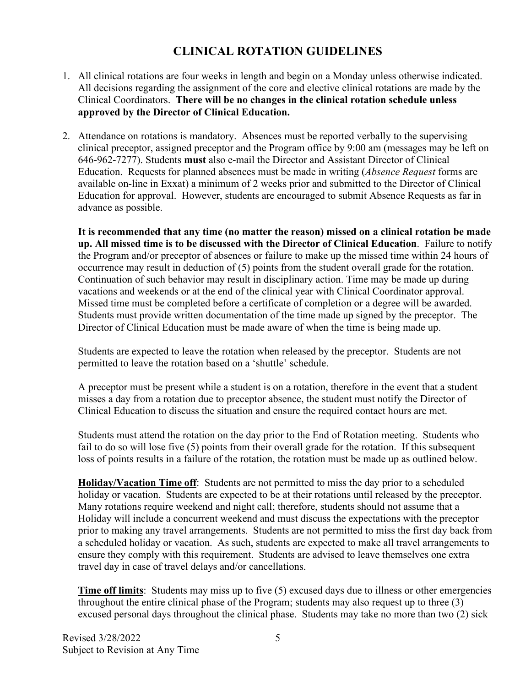### **CLINICAL ROTATION GUIDELINES**

- 1. All clinical rotations are four weeks in length and begin on a Monday unless otherwise indicated. All decisions regarding the assignment of the core and elective clinical rotations are made by the Clinical Coordinators. **There will be no changes in the clinical rotation schedule unless approved by the Director of Clinical Education.**
- 2. Attendance on rotations is mandatory. Absences must be reported verbally to the supervising clinical preceptor, assigned preceptor and the Program office by 9:00 am (messages may be left on 646-962-7277). Students **must** also e-mail the Director and Assistant Director of Clinical Education. Requests for planned absences must be made in writing (*Absence Request* forms are available on-line in Exxat) a minimum of 2 weeks prior and submitted to the Director of Clinical Education for approval. However, students are encouraged to submit Absence Requests as far in advance as possible.

**It is recommended that any time (no matter the reason) missed on a clinical rotation be made up. All missed time is to be discussed with the Director of Clinical Education**. Failure to notify the Program and/or preceptor of absences or failure to make up the missed time within 24 hours of occurrence may result in deduction of (5) points from the student overall grade for the rotation. Continuation of such behavior may result in disciplinary action. Time may be made up during vacations and weekends or at the end of the clinical year with Clinical Coordinator approval. Missed time must be completed before a certificate of completion or a degree will be awarded. Students must provide written documentation of the time made up signed by the preceptor. The Director of Clinical Education must be made aware of when the time is being made up.

Students are expected to leave the rotation when released by the preceptor. Students are not permitted to leave the rotation based on a 'shuttle' schedule.

A preceptor must be present while a student is on a rotation, therefore in the event that a student misses a day from a rotation due to preceptor absence, the student must notify the Director of Clinical Education to discuss the situation and ensure the required contact hours are met.

Students must attend the rotation on the day prior to the End of Rotation meeting. Students who fail to do so will lose five (5) points from their overall grade for the rotation. If this subsequent loss of points results in a failure of the rotation, the rotation must be made up as outlined below.

**Holiday/Vacation Time off**: Students are not permitted to miss the day prior to a scheduled holiday or vacation. Students are expected to be at their rotations until released by the preceptor. Many rotations require weekend and night call; therefore, students should not assume that a Holiday will include a concurrent weekend and must discuss the expectations with the preceptor prior to making any travel arrangements. Students are not permitted to miss the first day back from a scheduled holiday or vacation. As such, students are expected to make all travel arrangements to ensure they comply with this requirement. Students are advised to leave themselves one extra travel day in case of travel delays and/or cancellations.

**Time off limits**: Students may miss up to five (5) excused days due to illness or other emergencies throughout the entire clinical phase of the Program; students may also request up to three  $(3)$ excused personal days throughout the clinical phase. Students may take no more than two (2) sick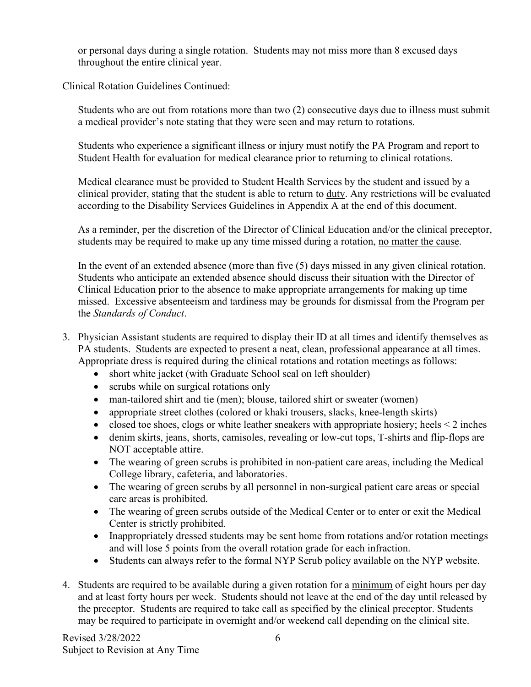or personal days during a single rotation. Students may not miss more than 8 excused days throughout the entire clinical year.

Clinical Rotation Guidelines Continued:

Students who are out from rotations more than two (2) consecutive days due to illness must submit a medical provider's note stating that they were seen and may return to rotations.

Students who experience a significant illness or injury must notify the PA Program and report to Student Health for evaluation for medical clearance prior to returning to clinical rotations.

Medical clearance must be provided to Student Health Services by the student and issued by a clinical provider, stating that the student is able to return to duty. Any restrictions will be evaluated according to the Disability Services Guidelines in Appendix A at the end of this document.

As a reminder, per the discretion of the Director of Clinical Education and/or the clinical preceptor, students may be required to make up any time missed during a rotation, no matter the cause.

In the event of an extended absence (more than five (5) days missed in any given clinical rotation. Students who anticipate an extended absence should discuss their situation with the Director of Clinical Education prior to the absence to make appropriate arrangements for making up time missed. Excessive absenteeism and tardiness may be grounds for dismissal from the Program per the *Standards of Conduct*.

- 3. Physician Assistant students are required to display their ID at all times and identify themselves as PA students. Students are expected to present a neat, clean, professional appearance at all times. Appropriate dress is required during the clinical rotations and rotation meetings as follows:
	- short white jacket (with Graduate School seal on left shoulder)
	- scrubs while on surgical rotations only
	- man-tailored shirt and tie (men); blouse, tailored shirt or sweater (women)
	- appropriate street clothes (colored or khaki trousers, slacks, knee-length skirts)
	- closed toe shoes, clogs or white leather sneakers with appropriate hosiery; heels  $\leq 2$  inches
	- denim skirts, jeans, shorts, camisoles, revealing or low-cut tops, T-shirts and flip-flops are NOT acceptable attire.
	- The wearing of green scrubs is prohibited in non-patient care areas, including the Medical College library, cafeteria, and laboratories.
	- The wearing of green scrubs by all personnel in non-surgical patient care areas or special care areas is prohibited.
	- The wearing of green scrubs outside of the Medical Center or to enter or exit the Medical Center is strictly prohibited.
	- Inappropriately dressed students may be sent home from rotations and/or rotation meetings and will lose 5 points from the overall rotation grade for each infraction.
	- Students can always refer to the formal NYP Scrub policy available on the NYP website.
- 4. Students are required to be available during a given rotation for a minimum of eight hours per day and at least forty hours per week. Students should not leave at the end of the day until released by the preceptor. Students are required to take call as specified by the clinical preceptor. Students may be required to participate in overnight and/or weekend call depending on the clinical site.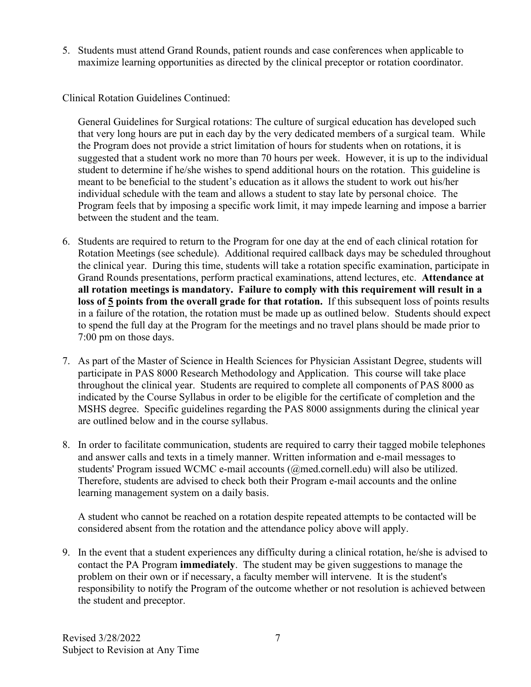5. Students must attend Grand Rounds, patient rounds and case conferences when applicable to maximize learning opportunities as directed by the clinical preceptor or rotation coordinator.

Clinical Rotation Guidelines Continued:

General Guidelines for Surgical rotations: The culture of surgical education has developed such that very long hours are put in each day by the very dedicated members of a surgical team. While the Program does not provide a strict limitation of hours for students when on rotations, it is suggested that a student work no more than 70 hours per week. However, it is up to the individual student to determine if he/she wishes to spend additional hours on the rotation. This guideline is meant to be beneficial to the student's education as it allows the student to work out his/her individual schedule with the team and allows a student to stay late by personal choice. The Program feels that by imposing a specific work limit, it may impede learning and impose a barrier between the student and the team.

- 6. Students are required to return to the Program for one day at the end of each clinical rotation for Rotation Meetings (see schedule). Additional required callback days may be scheduled throughout the clinical year. During this time, students will take a rotation specific examination, participate in Grand Rounds presentations, perform practical examinations, attend lectures, etc. **Attendance at all rotation meetings is mandatory. Failure to comply with this requirement will result in a loss of 5 points from the overall grade for that rotation.** If this subsequent loss of points results in a failure of the rotation, the rotation must be made up as outlined below. Students should expect to spend the full day at the Program for the meetings and no travel plans should be made prior to 7:00 pm on those days.
- 7. As part of the Master of Science in Health Sciences for Physician Assistant Degree, students will participate in PAS 8000 Research Methodology and Application. This course will take place throughout the clinical year. Students are required to complete all components of PAS 8000 as indicated by the Course Syllabus in order to be eligible for the certificate of completion and the MSHS degree. Specific guidelines regarding the PAS 8000 assignments during the clinical year are outlined below and in the course syllabus.
- 8. In order to facilitate communication, students are required to carry their tagged mobile telephones and answer calls and texts in a timely manner. Written information and e-mail messages to students' Program issued WCMC e-mail accounts (@med.cornell.edu) will also be utilized. Therefore, students are advised to check both their Program e-mail accounts and the online learning management system on a daily basis.

A student who cannot be reached on a rotation despite repeated attempts to be contacted will be considered absent from the rotation and the attendance policy above will apply.

9. In the event that a student experiences any difficulty during a clinical rotation, he/she is advised to contact the PA Program **immediately**. The student may be given suggestions to manage the problem on their own or if necessary, a faculty member will intervene. It is the student's responsibility to notify the Program of the outcome whether or not resolution is achieved between the student and preceptor.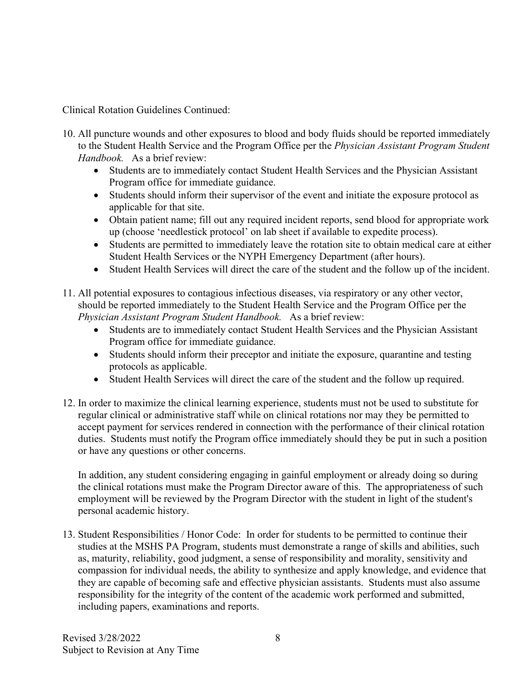Clinical Rotation Guidelines Continued:

- 10. All puncture wounds and other exposures to blood and body fluids should be reported immediately to the Student Health Service and the Program Office per the *Physician Assistant Program Student Handbook.* As a brief review:
	- Students are to immediately contact Student Health Services and the Physician Assistant Program office for immediate guidance.
	- Students should inform their supervisor of the event and initiate the exposure protocol as applicable for that site.
	- Obtain patient name; fill out any required incident reports, send blood for appropriate work up (choose 'needlestick protocol' on lab sheet if available to expedite process).
	- Students are permitted to immediately leave the rotation site to obtain medical care at either Student Health Services or the NYPH Emergency Department (after hours).
	- Student Health Services will direct the care of the student and the follow up of the incident.
- 11. All potential exposures to contagious infectious diseases, via respiratory or any other vector, should be reported immediately to the Student Health Service and the Program Office per the *Physician Assistant Program Student Handbook.* As a brief review:
	- Students are to immediately contact Student Health Services and the Physician Assistant Program office for immediate guidance.
	- Students should inform their preceptor and initiate the exposure, quarantine and testing protocols as applicable.
	- Student Health Services will direct the care of the student and the follow up required.
- 12. In order to maximize the clinical learning experience, students must not be used to substitute for regular clinical or administrative staff while on clinical rotations nor may they be permitted to accept payment for services rendered in connection with the performance of their clinical rotation duties. Students must notify the Program office immediately should they be put in such a position or have any questions or other concerns.

In addition, any student considering engaging in gainful employment or already doing so during the clinical rotations must make the Program Director aware of this. The appropriateness of such employment will be reviewed by the Program Director with the student in light of the student's personal academic history.

13. Student Responsibilities / Honor Code: In order for students to be permitted to continue their studies at the MSHS PA Program, students must demonstrate a range of skills and abilities, such as, maturity, reliability, good judgment, a sense of responsibility and morality, sensitivity and compassion for individual needs, the ability to synthesize and apply knowledge, and evidence that they are capable of becoming safe and effective physician assistants. Students must also assume responsibility for the integrity of the content of the academic work performed and submitted, including papers, examinations and reports.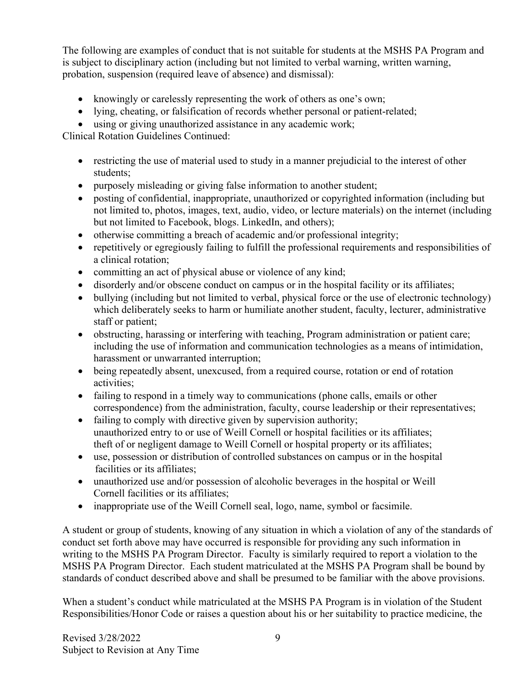The following are examples of conduct that is not suitable for students at the MSHS PA Program and is subject to disciplinary action (including but not limited to verbal warning, written warning, probation, suspension (required leave of absence) and dismissal):

- knowingly or carelessly representing the work of others as one's own;
- lying, cheating, or falsification of records whether personal or patient-related;
- using or giving unauthorized assistance in any academic work;

Clinical Rotation Guidelines Continued:

- restricting the use of material used to study in a manner prejudicial to the interest of other students;
- purposely misleading or giving false information to another student;
- posting of confidential, inappropriate, unauthorized or copyrighted information (including but not limited to, photos, images, text, audio, video, or lecture materials) on the internet (including but not limited to Facebook, blogs. LinkedIn, and others);
- otherwise committing a breach of academic and/or professional integrity;
- repetitively or egregiously failing to fulfill the professional requirements and responsibilities of a clinical rotation;
- committing an act of physical abuse or violence of any kind;
- disorderly and/or obscene conduct on campus or in the hospital facility or its affiliates;
- bullying (including but not limited to verbal, physical force or the use of electronic technology) which deliberately seeks to harm or humiliate another student, faculty, lecturer, administrative staff or patient;
- obstructing, harassing or interfering with teaching, Program administration or patient care; including the use of information and communication technologies as a means of intimidation, harassment or unwarranted interruption;
- being repeatedly absent, unexcused, from a required course, rotation or end of rotation activities;
- failing to respond in a timely way to communications (phone calls, emails or other correspondence) from the administration, faculty, course leadership or their representatives;
- failing to comply with directive given by supervision authority; unauthorized entry to or use of Weill Cornell or hospital facilities or its affiliates; theft of or negligent damage to Weill Cornell or hospital property or its affiliates;
- use, possession or distribution of controlled substances on campus or in the hospital facilities or its affiliates;
- unauthorized use and/or possession of alcoholic beverages in the hospital or Weill Cornell facilities or its affiliates;
- inappropriate use of the Weill Cornell seal, logo, name, symbol or facsimile.

A student or group of students, knowing of any situation in which a violation of any of the standards of conduct set forth above may have occurred is responsible for providing any such information in writing to the MSHS PA Program Director. Faculty is similarly required to report a violation to the MSHS PA Program Director. Each student matriculated at the MSHS PA Program shall be bound by standards of conduct described above and shall be presumed to be familiar with the above provisions.

When a student's conduct while matriculated at the MSHS PA Program is in violation of the Student Responsibilities/Honor Code or raises a question about his or her suitability to practice medicine, the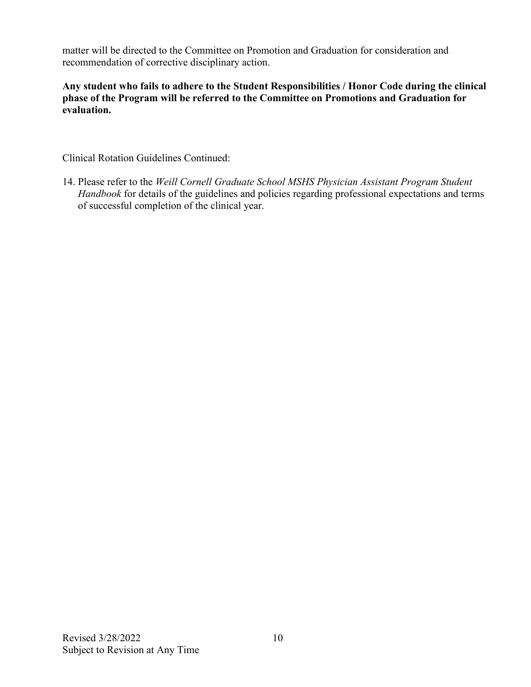matter will be directed to the Committee on Promotion and Graduation for consideration and recommendation of corrective disciplinary action.

**Any student who fails to adhere to the Student Responsibilities / Honor Code during the clinical phase of the Program will be referred to the Committee on Promotions and Graduation for evaluation.**

Clinical Rotation Guidelines Continued:

14. Please refer to the *Weill Cornell Graduate School MSHS Physician Assistant Program Student Handbook* for details of the guidelines and policies regarding professional expectations and terms of successful completion of the clinical year.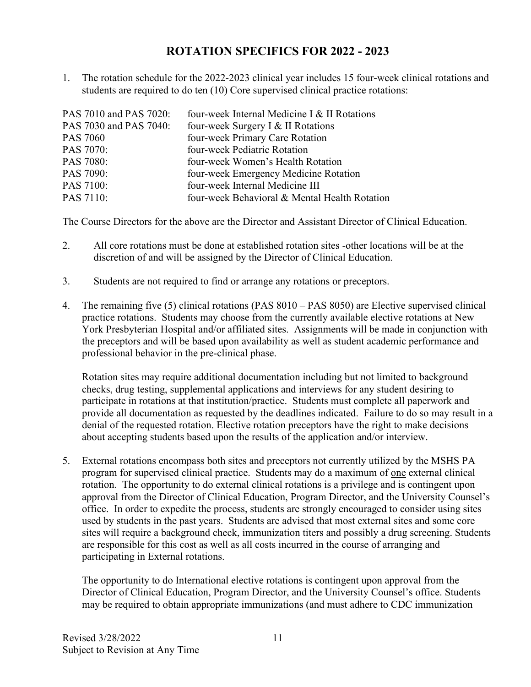### **ROTATION SPECIFICS FOR 2022 - 2023**

1. The rotation schedule for the 2022-2023 clinical year includes 15 four-week clinical rotations and students are required to do ten (10) Core supervised clinical practice rotations:

| PAS 7010 and PAS 7020: | four-week Internal Medicine I & II Rotations  |
|------------------------|-----------------------------------------------|
| PAS 7030 and PAS 7040: | four-week Surgery I & II Rotations            |
| <b>PAS 7060</b>        | four-week Primary Care Rotation               |
| PAS 7070:              | four-week Pediatric Rotation                  |
| PAS 7080:              | four-week Women's Health Rotation             |
| PAS 7090:              | four-week Emergency Medicine Rotation         |
| PAS 7100:              | four-week Internal Medicine III               |
| PAS 7110:              | four-week Behavioral & Mental Health Rotation |
|                        |                                               |

The Course Directors for the above are the Director and Assistant Director of Clinical Education.

- 2. All core rotations must be done at established rotation sites -other locations will be at the discretion of and will be assigned by the Director of Clinical Education.
- 3. Students are not required to find or arrange any rotations or preceptors.
- 4. The remaining five (5) clinical rotations (PAS 8010 PAS 8050) are Elective supervised clinical practice rotations. Students may choose from the currently available elective rotations at New York Presbyterian Hospital and/or affiliated sites. Assignments will be made in conjunction with the preceptors and will be based upon availability as well as student academic performance and professional behavior in the pre-clinical phase.

 Rotation sites may require additional documentation including but not limited to background checks, drug testing, supplemental applications and interviews for any student desiring to participate in rotations at that institution/practice. Students must complete all paperwork and provide all documentation as requested by the deadlines indicated. Failure to do so may result in a denial of the requested rotation. Elective rotation preceptors have the right to make decisions about accepting students based upon the results of the application and/or interview.

5. External rotations encompass both sites and preceptors not currently utilized by the MSHS PA program for supervised clinical practice. Students may do a maximum of one external clinical rotation. The opportunity to do external clinical rotations is a privilege and is contingent upon approval from the Director of Clinical Education, Program Director, and the University Counsel's office. In order to expedite the process, students are strongly encouraged to consider using sites used by students in the past years. Students are advised that most external sites and some core sites will require a background check, immunization titers and possibly a drug screening. Students are responsible for this cost as well as all costs incurred in the course of arranging and participating in External rotations.

The opportunity to do International elective rotations is contingent upon approval from the Director of Clinical Education, Program Director, and the University Counsel's office. Students may be required to obtain appropriate immunizations (and must adhere to CDC immunization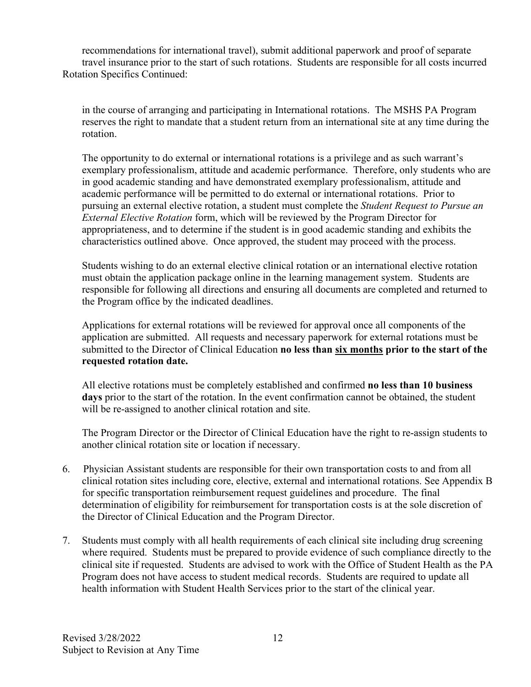recommendations for international travel), submit additional paperwork and proof of separate travel insurance prior to the start of such rotations. Students are responsible for all costs incurred Rotation Specifics Continued:

in the course of arranging and participating in International rotations. The MSHS PA Program reserves the right to mandate that a student return from an international site at any time during the rotation.

 The opportunity to do external or international rotations is a privilege and as such warrant's exemplary professionalism, attitude and academic performance. Therefore, only students who are in good academic standing and have demonstrated exemplary professionalism, attitude and academic performance will be permitted to do external or international rotations. Prior to pursuing an external elective rotation, a student must complete the *Student Request to Pursue an External Elective Rotation* form, which will be reviewed by the Program Director for appropriateness, and to determine if the student is in good academic standing and exhibits the characteristics outlined above. Once approved, the student may proceed with the process.

Students wishing to do an external elective clinical rotation or an international elective rotation must obtain the application package online in the learning management system. Students are responsible for following all directions and ensuring all documents are completed and returned to the Program office by the indicated deadlines.

Applications for external rotations will be reviewed for approval once all components of the application are submitted. All requests and necessary paperwork for external rotations must be submitted to the Director of Clinical Education **no less than six months prior to the start of the requested rotation date.**

All elective rotations must be completely established and confirmed **no less than 10 business days** prior to the start of the rotation. In the event confirmation cannot be obtained, the student will be re-assigned to another clinical rotation and site.

The Program Director or the Director of Clinical Education have the right to re-assign students to another clinical rotation site or location if necessary.

- 6. Physician Assistant students are responsible for their own transportation costs to and from all clinical rotation sites including core, elective, external and international rotations. See Appendix B for specific transportation reimbursement request guidelines and procedure. The final determination of eligibility for reimbursement for transportation costs is at the sole discretion of the Director of Clinical Education and the Program Director.
- 7. Students must comply with all health requirements of each clinical site including drug screening where required. Students must be prepared to provide evidence of such compliance directly to the clinical site if requested. Students are advised to work with the Office of Student Health as the PA Program does not have access to student medical records. Students are required to update all health information with Student Health Services prior to the start of the clinical year.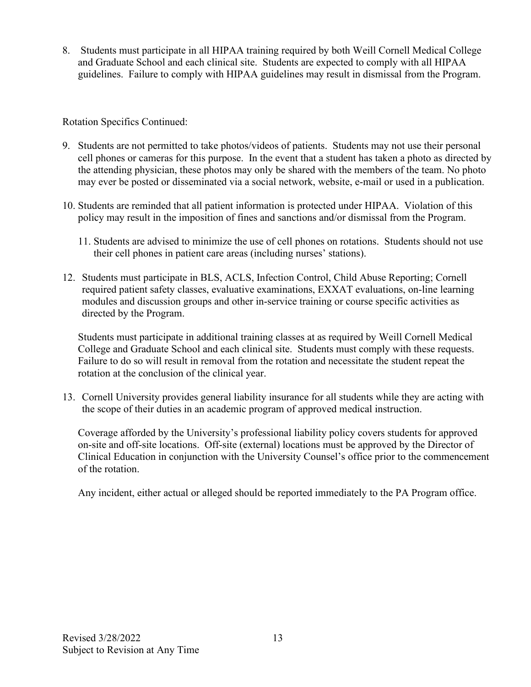8. Students must participate in all HIPAA training required by both Weill Cornell Medical College and Graduate School and each clinical site. Students are expected to comply with all HIPAA guidelines. Failure to comply with HIPAA guidelines may result in dismissal from the Program.

Rotation Specifics Continued:

- 9. Students are not permitted to take photos/videos of patients. Students may not use their personal cell phones or cameras for this purpose. In the event that a student has taken a photo as directed by the attending physician, these photos may only be shared with the members of the team. No photo may ever be posted or disseminated via a social network, website, e-mail or used in a publication.
- 10. Students are reminded that all patient information is protected under HIPAA. Violation of this policy may result in the imposition of fines and sanctions and/or dismissal from the Program.
	- 11. Students are advised to minimize the use of cell phones on rotations. Students should not use their cell phones in patient care areas (including nurses' stations).
- 12. Students must participate in BLS, ACLS, Infection Control, Child Abuse Reporting; Cornell required patient safety classes, evaluative examinations, EXXAT evaluations, on-line learning modules and discussion groups and other in-service training or course specific activities as directed by the Program.

Students must participate in additional training classes at as required by Weill Cornell Medical College and Graduate School and each clinical site. Students must comply with these requests. Failure to do so will result in removal from the rotation and necessitate the student repeat the rotation at the conclusion of the clinical year.

13. Cornell University provides general liability insurance for all students while they are acting with the scope of their duties in an academic program of approved medical instruction.

Coverage afforded by the University's professional liability policy covers students for approved on-site and off-site locations. Off-site (external) locations must be approved by the Director of Clinical Education in conjunction with the University Counsel's office prior to the commencement of the rotation.

Any incident, either actual or alleged should be reported immediately to the PA Program office.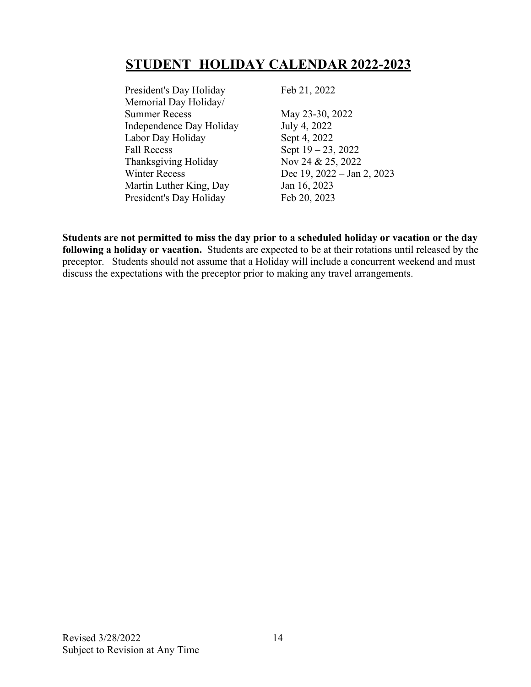### **STUDENT HOLIDAY CALENDAR 2022-2023**

President's Day Holiday Feb 21, 2022 Memorial Day Holiday/ Summer Recess May 23-30, 2022 Independence Day Holiday July 4, 2022 Labor Day Holiday Sept 4, 2022 Fall Recess Sept  $19 - 23$ , 2022 Thanksgiving Holiday Nov 24 & 25, 2022 Winter Recess Dec 19, 2022 – Jan 2, 2023 Martin Luther King, Day Jan 16, 2023 President's Day Holiday Feb 20, 2023

**Students are not permitted to miss the day prior to a scheduled holiday or vacation or the day following a holiday or vacation.** Students are expected to be at their rotations until released by the preceptor. Students should not assume that a Holiday will include a concurrent weekend and must discuss the expectations with the preceptor prior to making any travel arrangements.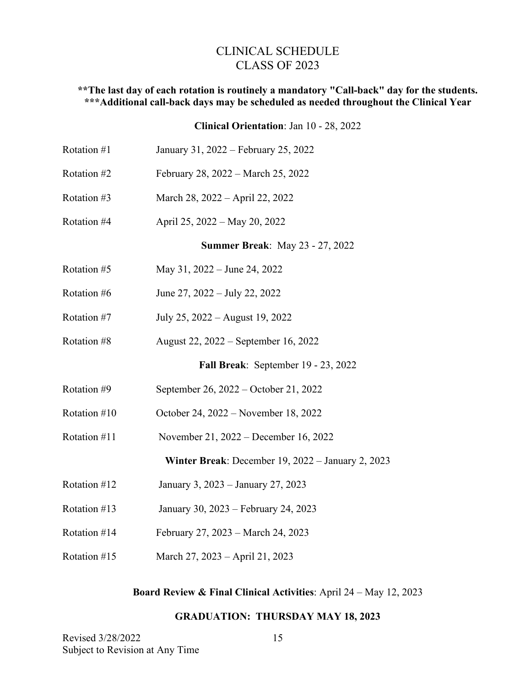#### CLINICAL SCHEDULE CLASS OF 2023

#### **\*\*The last day of each rotation is routinely a mandatory "Call-back" day for the students. \*\*\*Additional call-back days may be scheduled as needed throughout the Clinical Year**

#### **Clinical Orientation**: Jan 10 - 28, 2022

| Rotation #1  | January 31, 2022 – February 25, 2022              |
|--------------|---------------------------------------------------|
| Rotation #2  | February 28, 2022 – March 25, 2022                |
| Rotation #3  | March 28, 2022 - April 22, 2022                   |
| Rotation #4  | April 25, 2022 – May 20, 2022                     |
|              | <b>Summer Break: May 23 - 27, 2022</b>            |
| Rotation #5  | May 31, 2022 – June 24, 2022                      |
| Rotation #6  | June 27, 2022 – July 22, 2022                     |
| Rotation #7  | July 25, 2022 – August 19, 2022                   |
| Rotation #8  | August 22, 2022 – September 16, 2022              |
|              | Fall Break: September 19 - 23, 2022               |
| Rotation #9  | September 26, 2022 – October 21, 2022             |
| Rotation #10 | October 24, 2022 – November 18, 2022              |
| Rotation #11 | November 21, 2022 – December 16, 2022             |
|              | Winter Break: December 19, 2022 - January 2, 2023 |
| Rotation #12 | January 3, 2023 – January 27, 2023                |
| Rotation #13 | January 30, 2023 – February 24, 2023              |
| Rotation #14 | February 27, 2023 – March 24, 2023                |
| Rotation #15 | March 27, 2023 – April 21, 2023                   |

#### **Board Review & Final Clinical Activities**: April 24 – May 12, 2023

#### **GRADUATION: THURSDAY MAY 18, 2023**

| Revised 3/28/2022               |  |
|---------------------------------|--|
| Subject to Revision at Any Time |  |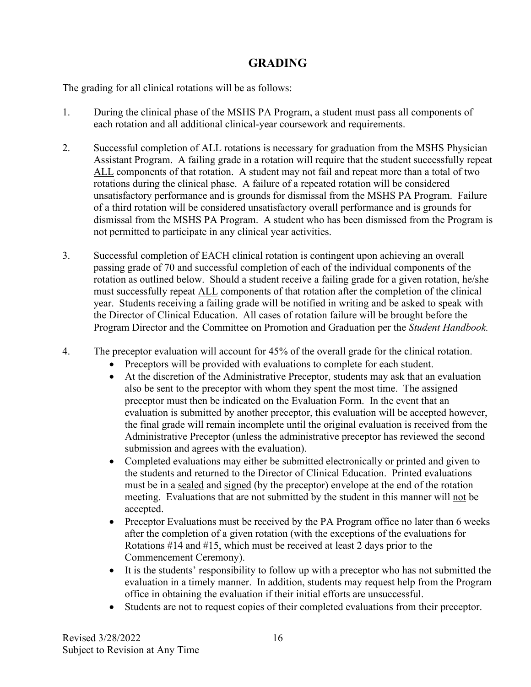### **GRADING**

The grading for all clinical rotations will be as follows:

- 1. During the clinical phase of the MSHS PA Program, a student must pass all components of each rotation and all additional clinical-year coursework and requirements.
- 2. Successful completion of ALL rotations is necessary for graduation from the MSHS Physician Assistant Program. A failing grade in a rotation will require that the student successfully repeat ALL components of that rotation. A student may not fail and repeat more than a total of two rotations during the clinical phase. A failure of a repeated rotation will be considered unsatisfactory performance and is grounds for dismissal from the MSHS PA Program. Failure of a third rotation will be considered unsatisfactory overall performance and is grounds for dismissal from the MSHS PA Program. A student who has been dismissed from the Program is not permitted to participate in any clinical year activities.
- 3. Successful completion of EACH clinical rotation is contingent upon achieving an overall passing grade of 70 and successful completion of each of the individual components of the rotation as outlined below. Should a student receive a failing grade for a given rotation, he/she must successfully repeat ALL components of that rotation after the completion of the clinical year. Students receiving a failing grade will be notified in writing and be asked to speak with the Director of Clinical Education. All cases of rotation failure will be brought before the Program Director and the Committee on Promotion and Graduation per the *Student Handbook.*
- 4. The preceptor evaluation will account for 45% of the overall grade for the clinical rotation.
	- Preceptors will be provided with evaluations to complete for each student.
	- At the discretion of the Administrative Preceptor, students may ask that an evaluation also be sent to the preceptor with whom they spent the most time. The assigned preceptor must then be indicated on the Evaluation Form. In the event that an evaluation is submitted by another preceptor, this evaluation will be accepted however, the final grade will remain incomplete until the original evaluation is received from the Administrative Preceptor (unless the administrative preceptor has reviewed the second submission and agrees with the evaluation).
	- Completed evaluations may either be submitted electronically or printed and given to the students and returned to the Director of Clinical Education. Printed evaluations must be in a sealed and signed (by the preceptor) envelope at the end of the rotation meeting. Evaluations that are not submitted by the student in this manner will not be accepted.
	- Preceptor Evaluations must be received by the PA Program office no later than 6 weeks after the completion of a given rotation (with the exceptions of the evaluations for Rotations #14 and #15, which must be received at least 2 days prior to the Commencement Ceremony).
	- It is the students' responsibility to follow up with a preceptor who has not submitted the evaluation in a timely manner. In addition, students may request help from the Program office in obtaining the evaluation if their initial efforts are unsuccessful.
	- Students are not to request copies of their completed evaluations from their preceptor.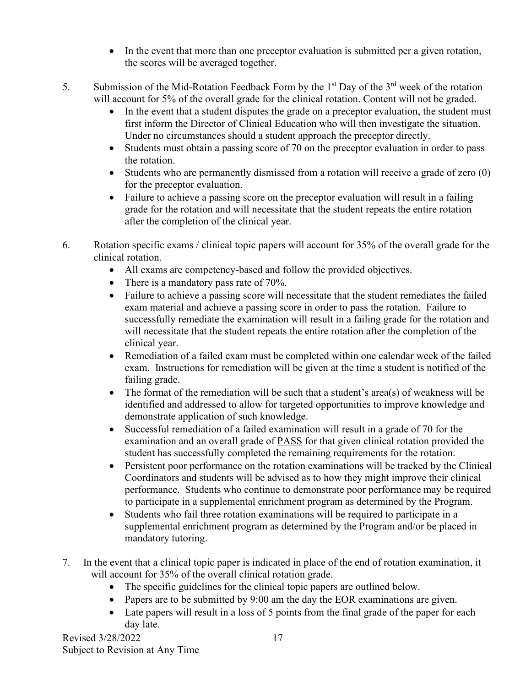- In the event that more than one preceptor evaluation is submitted per a given rotation, the scores will be averaged together.
- 5. Submission of the Mid-Rotation Feedback Form by the  $1<sup>st</sup>$  Day of the  $3<sup>rd</sup>$  week of the rotation will account for 5% of the overall grade for the clinical rotation. Content will not be graded.
	- In the event that a student disputes the grade on a preceptor evaluation, the student must first inform the Director of Clinical Education who will then investigate the situation. Under no circumstances should a student approach the preceptor directly.
	- Students must obtain a passing score of 70 on the preceptor evaluation in order to pass the rotation.
	- Students who are permanently dismissed from a rotation will receive a grade of zero (0) for the preceptor evaluation.
	- Failure to achieve a passing score on the preceptor evaluation will result in a failing grade for the rotation and will necessitate that the student repeats the entire rotation after the completion of the clinical year.
- 6. Rotation specific exams / clinical topic papers will account for 35% of the overall grade for the clinical rotation.
	- All exams are competency-based and follow the provided objectives.
	- There is a mandatory pass rate of 70%.
	- Failure to achieve a passing score will necessitate that the student remediates the failed exam material and achieve a passing score in order to pass the rotation. Failure to successfully remediate the examination will result in a failing grade for the rotation and will necessitate that the student repeats the entire rotation after the completion of the clinical year.
	- Remediation of a failed exam must be completed within one calendar week of the failed exam. Instructions for remediation will be given at the time a student is notified of the failing grade.
	- The format of the remediation will be such that a student's area(s) of weakness will be identified and addressed to allow for targeted opportunities to improve knowledge and demonstrate application of such knowledge.
	- Successful remediation of a failed examination will result in a grade of 70 for the examination and an overall grade of PASS for that given clinical rotation provided the student has successfully completed the remaining requirements for the rotation.
	- Persistent poor performance on the rotation examinations will be tracked by the Clinical Coordinators and students will be advised as to how they might improve their clinical performance. Students who continue to demonstrate poor performance may be required to participate in a supplemental enrichment program as determined by the Program.
	- Students who fail three rotation examinations will be required to participate in a supplemental enrichment program as determined by the Program and/or be placed in mandatory tutoring.
- 7. In the event that a clinical topic paper is indicated in place of the end of rotation examination, it will account for 35% of the overall clinical rotation grade.
	- The specific guidelines for the clinical topic papers are outlined below.
	- Papers are to be submitted by 9:00 am the day the EOR examinations are given.
	- Late papers will result in a loss of 5 points from the final grade of the paper for each day late.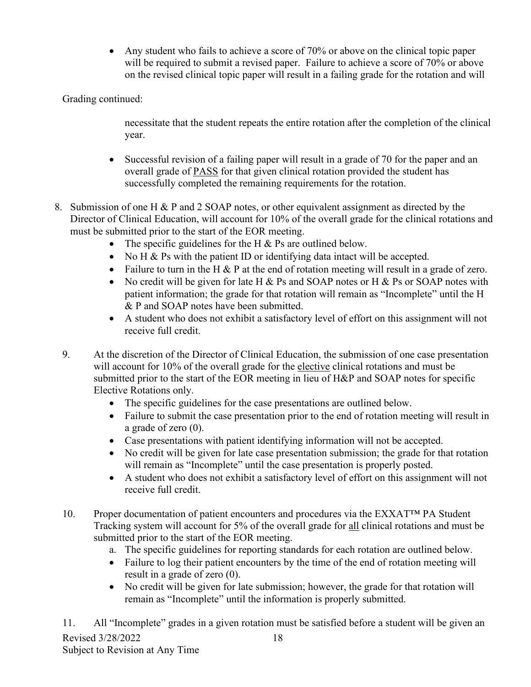• Any student who fails to achieve a score of 70% or above on the clinical topic paper will be required to submit a revised paper. Failure to achieve a score of 70% or above on the revised clinical topic paper will result in a failing grade for the rotation and will

Grading continued:

necessitate that the student repeats the entire rotation after the completion of the clinical year.

- Successful revision of a failing paper will result in a grade of 70 for the paper and an overall grade of PASS for that given clinical rotation provided the student has successfully completed the remaining requirements for the rotation.
- 8. Submission of one H & P and 2 SOAP notes, or other equivalent assignment as directed by the Director of Clinical Education, will account for 10% of the overall grade for the clinical rotations and must be submitted prior to the start of the EOR meeting.
	- The specific guidelines for the H  $&$  Ps are outlined below.
	- No H & Ps with the patient ID or identifying data intact will be accepted.
	- Failure to turn in the H  $&$  P at the end of rotation meeting will result in a grade of zero.
	- No credit will be given for late H & Ps and SOAP notes or H & Ps or SOAP notes with patient information; the grade for that rotation will remain as "Incomplete" until the H & P and SOAP notes have been submitted.
	- A student who does not exhibit a satisfactory level of effort on this assignment will not receive full credit.
	- 9. At the discretion of the Director of Clinical Education, the submission of one case presentation will account for 10% of the overall grade for the elective clinical rotations and must be submitted prior to the start of the EOR meeting in lieu of H&P and SOAP notes for specific Elective Rotations only.
		- The specific guidelines for the case presentations are outlined below.
		- Failure to submit the case presentation prior to the end of rotation meeting will result in a grade of zero (0).
		- Case presentations with patient identifying information will not be accepted.
		- No credit will be given for late case presentation submission; the grade for that rotation will remain as "Incomplete" until the case presentation is properly posted.
		- A student who does not exhibit a satisfactory level of effort on this assignment will not receive full credit.
	- 10. Proper documentation of patient encounters and procedures via the EXXAT™ PA Student Tracking system will account for 5% of the overall grade for all clinical rotations and must be submitted prior to the start of the EOR meeting.
		- a. The specific guidelines for reporting standards for each rotation are outlined below.
		- Failure to log their patient encounters by the time of the end of rotation meeting will result in a grade of zero (0).
		- No credit will be given for late submission; however, the grade for that rotation will remain as "Incomplete" until the information is properly submitted.

Revised 3/28/2022 Subject to Revision at Any Time 18 11. All "Incomplete" grades in a given rotation must be satisfied before a student will be given an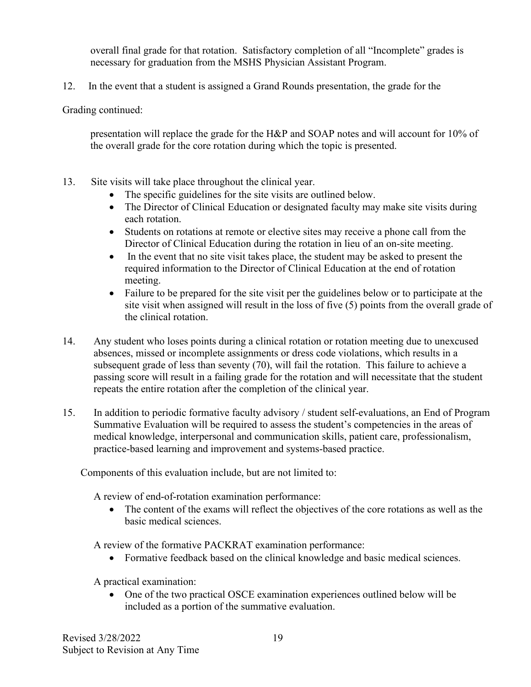overall final grade for that rotation. Satisfactory completion of all "Incomplete" grades is necessary for graduation from the MSHS Physician Assistant Program.

12. In the event that a student is assigned a Grand Rounds presentation, the grade for the

Grading continued:

presentation will replace the grade for the H&P and SOAP notes and will account for 10% of the overall grade for the core rotation during which the topic is presented.

- 13. Site visits will take place throughout the clinical year.
	- The specific guidelines for the site visits are outlined below.
	- The Director of Clinical Education or designated faculty may make site visits during each rotation.
	- Students on rotations at remote or elective sites may receive a phone call from the Director of Clinical Education during the rotation in lieu of an on-site meeting.
	- In the event that no site visit takes place, the student may be asked to present the required information to the Director of Clinical Education at the end of rotation meeting.
	- Failure to be prepared for the site visit per the guidelines below or to participate at the site visit when assigned will result in the loss of five (5) points from the overall grade of the clinical rotation.
- 14. Any student who loses points during a clinical rotation or rotation meeting due to unexcused absences, missed or incomplete assignments or dress code violations, which results in a subsequent grade of less than seventy (70), will fail the rotation. This failure to achieve a passing score will result in a failing grade for the rotation and will necessitate that the student repeats the entire rotation after the completion of the clinical year.
- 15. In addition to periodic formative faculty advisory / student self-evaluations, an End of Program Summative Evaluation will be required to assess the student's competencies in the areas of medical knowledge, interpersonal and communication skills, patient care, professionalism, practice-based learning and improvement and systems-based practice.

Components of this evaluation include, but are not limited to:

A review of end-of-rotation examination performance:

• The content of the exams will reflect the objectives of the core rotations as well as the basic medical sciences.

A review of the formative PACKRAT examination performance:

• Formative feedback based on the clinical knowledge and basic medical sciences.

A practical examination:

• One of the two practical OSCE examination experiences outlined below will be included as a portion of the summative evaluation.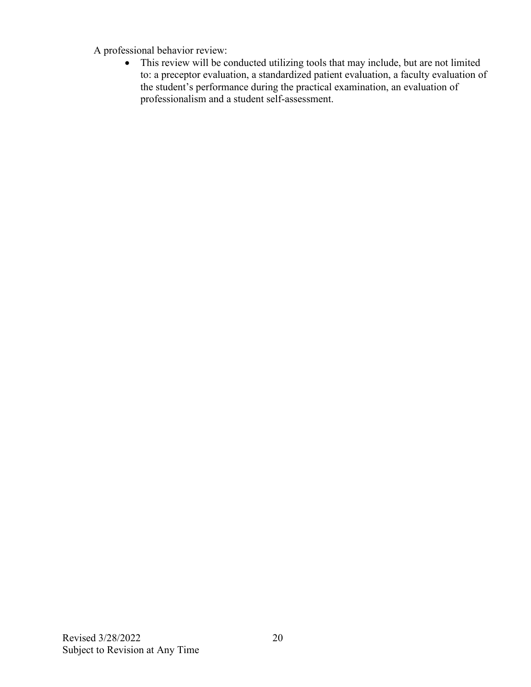A professional behavior review:

• This review will be conducted utilizing tools that may include, but are not limited to: a preceptor evaluation, a standardized patient evaluation, a faculty evaluation of the student's performance during the practical examination, an evaluation of professionalism and a student self-assessment.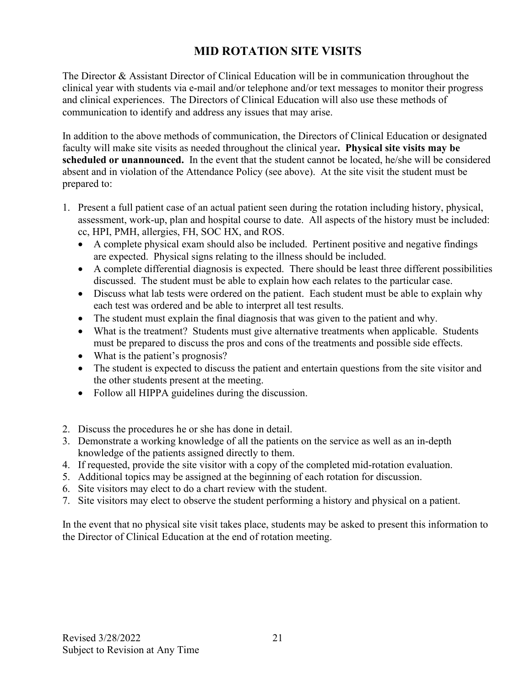### **MID ROTATION SITE VISITS**

The Director & Assistant Director of Clinical Education will be in communication throughout the clinical year with students via e-mail and/or telephone and/or text messages to monitor their progress and clinical experiences. The Directors of Clinical Education will also use these methods of communication to identify and address any issues that may arise.

In addition to the above methods of communication, the Directors of Clinical Education or designated faculty will make site visits as needed throughout the clinical year**. Physical site visits may be scheduled or unannounced.** In the event that the student cannot be located, he/she will be considered absent and in violation of the Attendance Policy (see above). At the site visit the student must be prepared to:

- 1. Present a full patient case of an actual patient seen during the rotation including history, physical, assessment, work-up, plan and hospital course to date. All aspects of the history must be included: cc, HPI, PMH, allergies, FH, SOC HX, and ROS.
	- A complete physical exam should also be included. Pertinent positive and negative findings are expected. Physical signs relating to the illness should be included.
	- A complete differential diagnosis is expected. There should be least three different possibilities discussed. The student must be able to explain how each relates to the particular case.
	- Discuss what lab tests were ordered on the patient. Each student must be able to explain why each test was ordered and be able to interpret all test results.
	- The student must explain the final diagnosis that was given to the patient and why.
	- What is the treatment? Students must give alternative treatments when applicable. Students must be prepared to discuss the pros and cons of the treatments and possible side effects.
	- What is the patient's prognosis?
	- The student is expected to discuss the patient and entertain questions from the site visitor and the other students present at the meeting.
	- Follow all HIPPA guidelines during the discussion.
- 2. Discuss the procedures he or she has done in detail.
- 3. Demonstrate a working knowledge of all the patients on the service as well as an in-depth knowledge of the patients assigned directly to them.
- 4. If requested, provide the site visitor with a copy of the completed mid-rotation evaluation.
- 5. Additional topics may be assigned at the beginning of each rotation for discussion.
- 6. Site visitors may elect to do a chart review with the student.
- 7. Site visitors may elect to observe the student performing a history and physical on a patient.

In the event that no physical site visit takes place, students may be asked to present this information to the Director of Clinical Education at the end of rotation meeting.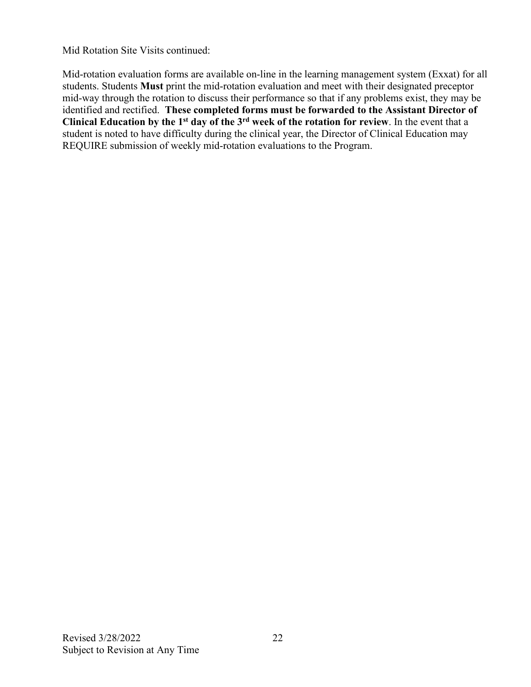Mid Rotation Site Visits continued:

Mid-rotation evaluation forms are available on-line in the learning management system (Exxat) for all students. Students **Must** print the mid-rotation evaluation and meet with their designated preceptor mid-way through the rotation to discuss their performance so that if any problems exist, they may be identified and rectified. **These completed forms must be forwarded to the Assistant Director of Clinical Education by the 1st day of the 3rd week of the rotation for review**. In the event that a student is noted to have difficulty during the clinical year, the Director of Clinical Education may REQUIRE submission of weekly mid-rotation evaluations to the Program.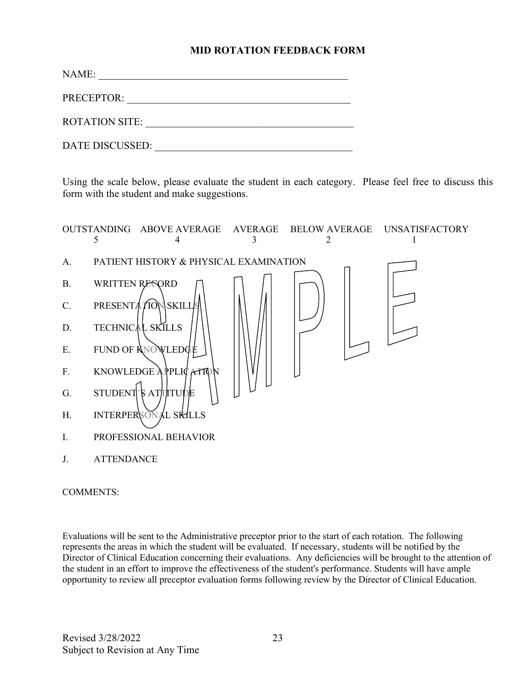#### **MID ROTATION FEEDBACK FORM**

| NAME:                 |  |
|-----------------------|--|
| PRECEPTOR:            |  |
| <b>ROTATION SITE:</b> |  |
| DATE DISCUSSED:       |  |

Using the scale below, please evaluate the student in each category. Please feel free to discuss this form with the student and make suggestions.



#### COMMENTS:

Evaluations will be sent to the Administrative preceptor prior to the start of each rotation. The following represents the areas in which the student will be evaluated. If necessary, students will be notified by the Director of Clinical Education concerning their evaluations. Any deficiencies will be brought to the attention of the student in an effort to improve the effectiveness of the student's performance. Students will have ample opportunity to review all preceptor evaluation forms following review by the Director of Clinical Education.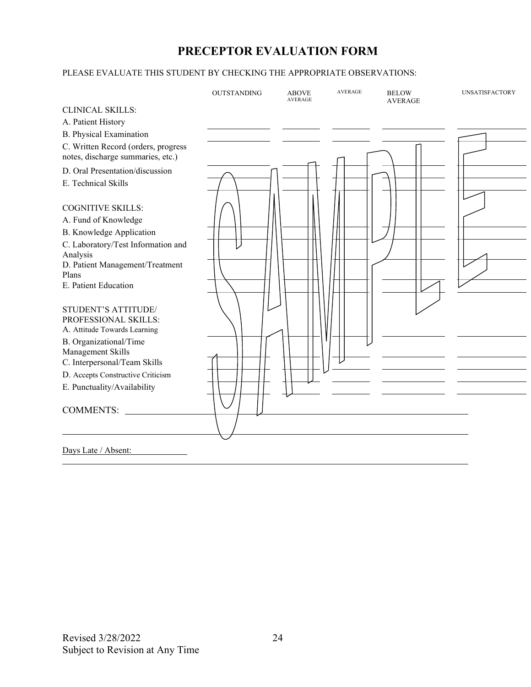### **PRECEPTOR EVALUATION FORM**

#### PLEASE EVALUATE THIS STUDENT BY CHECKING THE APPROPRIATE OBSERVATIONS:

|                                                   | <b>OUTSTANDING</b> | <b>ABOVE</b><br><b>AVERAGE</b> | <b>AVERAGE</b> | <b>BELOW</b><br><b>AVERAGE</b> | <b>UNSATISFACTORY</b> |
|---------------------------------------------------|--------------------|--------------------------------|----------------|--------------------------------|-----------------------|
| <b>CLINICAL SKILLS:</b>                           |                    |                                |                |                                |                       |
| A. Patient History                                |                    |                                |                |                                |                       |
| <b>B.</b> Physical Examination                    |                    |                                |                |                                |                       |
| C. Written Record (orders, progress               |                    |                                |                |                                |                       |
| notes, discharge summaries, etc.)                 |                    |                                |                |                                |                       |
| D. Oral Presentation/discussion                   |                    |                                |                |                                |                       |
| E. Technical Skills                               |                    |                                |                |                                |                       |
|                                                   |                    |                                |                |                                |                       |
| <b>COGNITIVE SKILLS:</b>                          |                    |                                |                |                                |                       |
| A. Fund of Knowledge                              |                    |                                |                |                                |                       |
| <b>B.</b> Knowledge Application                   |                    |                                |                |                                |                       |
| C. Laboratory/Test Information and                |                    |                                |                |                                |                       |
| Analysis<br>D. Patient Management/Treatment       |                    |                                |                |                                |                       |
| Plans                                             |                    |                                |                |                                |                       |
| E. Patient Education                              |                    |                                |                |                                |                       |
|                                                   |                    |                                |                |                                |                       |
| STUDENT'S ATTITUDE/                               |                    |                                |                |                                |                       |
| PROFESSIONAL SKILLS:                              |                    |                                |                |                                |                       |
| A. Attitude Towards Learning                      |                    |                                |                |                                |                       |
| B. Organizational/Time                            |                    |                                |                |                                |                       |
| Management Skills<br>C. Interpersonal/Team Skills |                    |                                |                |                                |                       |
| D. Accepts Constructive Criticism                 |                    |                                |                |                                |                       |
| E. Punctuality/Availability                       |                    |                                |                |                                |                       |
|                                                   |                    |                                |                |                                |                       |
| <b>COMMENTS:</b>                                  |                    |                                |                |                                |                       |
|                                                   |                    |                                |                |                                |                       |
| Days Late / Absent:                               |                    |                                |                |                                |                       |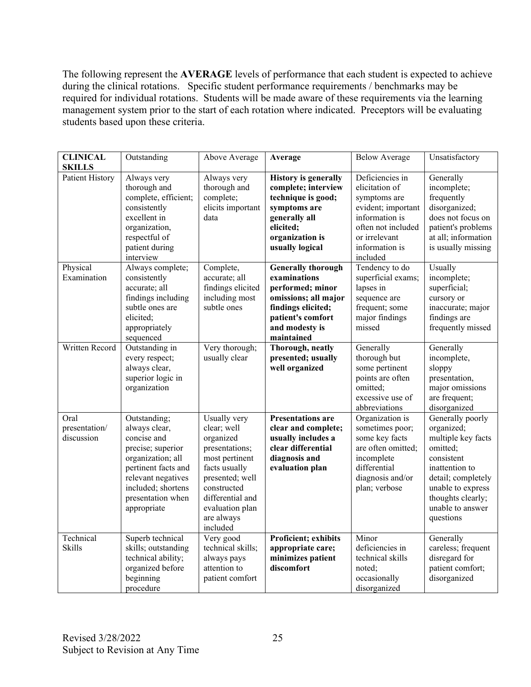The following represent the **AVERAGE** levels of performance that each student is expected to achieve during the clinical rotations. Specific student performance requirements / benchmarks may be required for individual rotations. Students will be made aware of these requirements via the learning management system prior to the start of each rotation where indicated. Preceptors will be evaluating students based upon these criteria.

| <b>CLINICAL</b><br><b>SKILLS</b>    | Outstanding                                                                                                                                                                                   | Above Average                                                                                                                                                                                    | Average                                                                                                                                                          | <b>Below Average</b>                                                                                                                                           | Unsatisfactory                                                                                                                                                                                    |
|-------------------------------------|-----------------------------------------------------------------------------------------------------------------------------------------------------------------------------------------------|--------------------------------------------------------------------------------------------------------------------------------------------------------------------------------------------------|------------------------------------------------------------------------------------------------------------------------------------------------------------------|----------------------------------------------------------------------------------------------------------------------------------------------------------------|---------------------------------------------------------------------------------------------------------------------------------------------------------------------------------------------------|
| <b>Patient History</b>              | Always very<br>thorough and<br>complete, efficient;<br>consistently<br>excellent in<br>organization,<br>respectful of<br>patient during<br>interview                                          | Always very<br>thorough and<br>complete;<br>elicits important<br>data                                                                                                                            | <b>History is generally</b><br>complete; interview<br>technique is good;<br>symptoms are<br>generally all<br>elicited;<br>organization is<br>usually logical     | Deficiencies in<br>elicitation of<br>symptoms are<br>evident; important<br>information is<br>often not included<br>or irrelevant<br>information is<br>included | Generally<br>incomplete;<br>frequently<br>disorganized;<br>does not focus on<br>patient's problems<br>at all; information<br>is usually missing                                                   |
| Physical<br>Examination             | Always complete;<br>consistently<br>accurate; all<br>findings including<br>subtle ones are<br>elicited:<br>appropriately<br>sequenced                                                         | Complete,<br>accurate; all<br>findings elicited<br>including most<br>subtle ones                                                                                                                 | <b>Generally thorough</b><br>examinations<br>performed; minor<br>omissions; all major<br>findings elicited;<br>patient's comfort<br>and modesty is<br>maintained | Tendency to do<br>superficial exams;<br>lapses in<br>sequence are<br>frequent; some<br>major findings<br>missed                                                | Usually<br>incomplete;<br>superficial;<br>cursory or<br>inaccurate; major<br>findings are<br>frequently missed                                                                                    |
| Written Record                      | Outstanding in<br>every respect;<br>always clear,<br>superior logic in<br>organization                                                                                                        | Very thorough;<br>usually clear                                                                                                                                                                  | Thorough, neatly<br>presented; usually<br>well organized                                                                                                         | Generally<br>thorough but<br>some pertinent<br>points are often<br>omitted;<br>excessive use of<br>abbreviations                                               | Generally<br>incomplete,<br>sloppy<br>presentation,<br>major omissions<br>are frequent;<br>disorganized                                                                                           |
| Oral<br>presentation/<br>discussion | Outstanding;<br>always clear,<br>concise and<br>precise; superior<br>organization; all<br>pertinent facts and<br>relevant negatives<br>included; shortens<br>presentation when<br>appropriate | Usually very<br>clear; well<br>organized<br>presentations;<br>most pertinent<br>facts usually<br>presented; well<br>constructed<br>differential and<br>evaluation plan<br>are always<br>included | <b>Presentations are</b><br>clear and complete;<br>usually includes a<br>clear differential<br>diagnosis and<br>evaluation plan                                  | Organization is<br>sometimes poor;<br>some key facts<br>are often omitted;<br>incomplete<br>differential<br>diagnosis and/or<br>plan; verbose                  | Generally poorly<br>organized;<br>multiple key facts<br>omitted;<br>consistent<br>inattention to<br>detail; completely<br>unable to express<br>thoughts clearly;<br>unable to answer<br>questions |
| Technical<br><b>Skills</b>          | Superb technical<br>skills; outstanding<br>technical ability;<br>organized before<br>beginning<br>procedure                                                                                   | Very good<br>technical skills;<br>always pays<br>attention to<br>patient comfort                                                                                                                 | Proficient; exhibits<br>appropriate care;<br>minimizes patient<br>discomfort                                                                                     | Minor<br>deficiencies in<br>technical skills<br>noted:<br>occasionally<br>disorganized                                                                         | Generally<br>careless; frequent<br>disregard for<br>patient comfort;<br>disorganized                                                                                                              |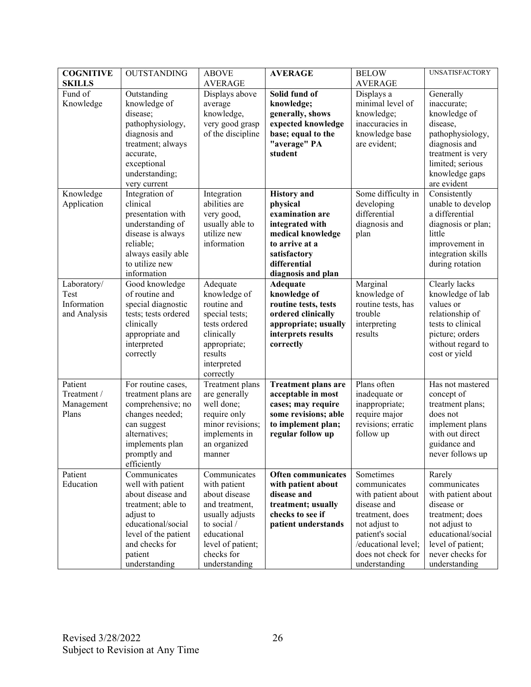| <b>COGNITIVE</b>    | <b>OUTSTANDING</b>                         | <b>ABOVE</b>                | <b>AVERAGE</b>                             | <b>BELOW</b>                       | UNSATISFACTORY                       |
|---------------------|--------------------------------------------|-----------------------------|--------------------------------------------|------------------------------------|--------------------------------------|
| <b>SKILLS</b>       |                                            | <b>AVERAGE</b>              |                                            | <b>AVERAGE</b>                     |                                      |
| Fund of             | Outstanding                                | Displays above              | Solid fund of                              | Displays a                         | Generally                            |
| Knowledge           | knowledge of                               | average                     | knowledge;                                 | minimal level of                   | inaccurate;                          |
|                     | disease;                                   | knowledge,                  | generally, shows                           | knowledge;                         | knowledge of                         |
|                     | pathophysiology,                           | very good grasp             | expected knowledge                         | inaccuracies in                    | disease,                             |
|                     | diagnosis and                              | of the discipline           | base; equal to the                         | knowledge base                     | pathophysiology,                     |
|                     | treatment; always                          |                             | "average" PA                               | are evident;                       | diagnosis and                        |
|                     | accurate,                                  |                             | student                                    |                                    | treatment is very                    |
|                     | exceptional                                |                             |                                            |                                    | limited; serious                     |
|                     | understanding;                             |                             |                                            |                                    | knowledge gaps                       |
|                     | very current                               |                             |                                            |                                    | are evident                          |
| Knowledge           | Integration of                             | Integration                 | <b>History</b> and                         | Some difficulty in                 | Consistently                         |
| Application         | clinical                                   | abilities are               | physical                                   | developing                         | unable to develop                    |
|                     | presentation with                          | very good,                  | examination are                            | differential                       | a differential                       |
|                     | understanding of                           | usually able to             | integrated with                            | diagnosis and                      | diagnosis or plan;                   |
|                     | disease is always                          | utilize new                 | medical knowledge                          | plan                               | little                               |
|                     | reliable;                                  | information                 | to arrive at a                             |                                    | improvement in                       |
|                     | always easily able                         |                             | satisfactory                               |                                    | integration skills                   |
|                     | to utilize new                             |                             | differential                               |                                    | during rotation                      |
|                     | information                                |                             | diagnosis and plan                         |                                    |                                      |
| Laboratory/<br>Test | Good knowledge<br>of routine and           | Adequate                    | <b>Adequate</b>                            | Marginal                           | Clearly lacks                        |
| Information         |                                            | knowledge of<br>routine and | knowledge of                               | knowledge of<br>routine tests, has | knowledge of lab<br>values or        |
|                     | special diagnostic<br>tests; tests ordered | special tests;              | routine tests, tests<br>ordered clinically | trouble                            |                                      |
| and Analysis        | clinically                                 | tests ordered               | appropriate; usually                       |                                    | relationship of<br>tests to clinical |
|                     |                                            | clinically                  | interprets results                         | interpreting<br>results            | picture; orders                      |
|                     | appropriate and<br>interpreted             | appropriate;                | correctly                                  |                                    | without regard to                    |
|                     | correctly                                  | results                     |                                            |                                    | cost or yield                        |
|                     |                                            | interpreted                 |                                            |                                    |                                      |
|                     |                                            | correctly                   |                                            |                                    |                                      |
| Patient             | For routine cases,                         | Treatment plans             | Treatment plans are                        | Plans often                        | Has not mastered                     |
| Treatment /         | treatment plans are                        | are generally               | acceptable in most                         | inadequate or                      | concept of                           |
| Management          | comprehensive; no                          | well done;                  | cases; may require                         | inappropriate;                     | treatment plans;                     |
| Plans               | changes needed;                            | require only                | some revisions; able                       | require major                      | does not                             |
|                     | can suggest                                | minor revisions;            | to implement plan;                         | revisions; erratic                 | implement plans                      |
|                     | alternatives;                              | implements in               | regular follow up                          | follow up                          | with out direct                      |
|                     | implements plan                            | an organized                |                                            |                                    | guidance and                         |
|                     | promptly and                               | manner                      |                                            |                                    | never follows up                     |
|                     | efficiently                                |                             |                                            |                                    |                                      |
| Patient             | Communicates                               | Communicates                | Often communicates                         | Sometimes                          | Rarely                               |
| Education           | well with patient                          | with patient                | with patient about                         | communicates                       | communicates                         |
|                     | about disease and                          | about disease               | disease and                                | with patient about                 | with patient about                   |
|                     | treatment; able to                         | and treatment,              | treatment; usually                         | disease and                        | disease or                           |
|                     | adjust to                                  | usually adjusts             | checks to see if                           | treatment, does                    | treatment; does                      |
|                     | educational/social                         | to social /                 | patient understands                        | not adjust to                      | not adjust to                        |
|                     | level of the patient                       | educational                 |                                            | patient's social                   | educational/social                   |
|                     | and checks for                             | level of patient;           |                                            | /educational level;                | level of patient;                    |
|                     | patient                                    | checks for                  |                                            | does not check for                 | never checks for                     |
|                     | understanding                              | understanding               |                                            | understanding                      | understanding                        |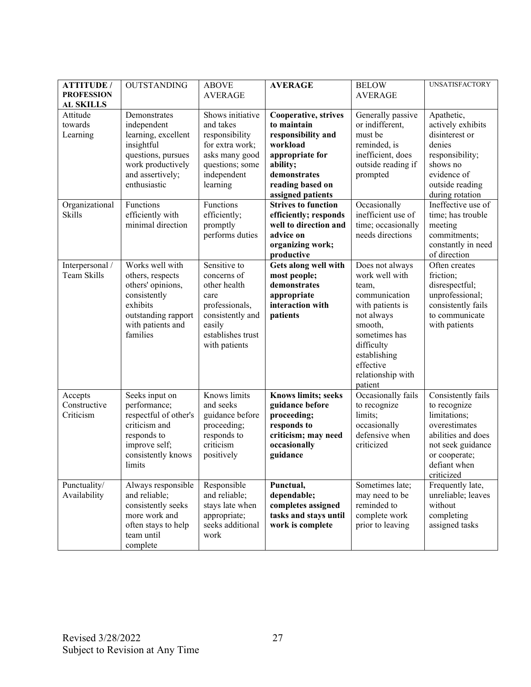| <b>ATTITUDE /</b><br><b>PROFESSION</b><br><b>AL SKILLS</b> | <b>OUTSTANDING</b>                                                                                                                              | <b>ABOVE</b><br><b>AVERAGE</b>                                                                                                            | <b>AVERAGE</b>                                                                                                                                                | <b>BELOW</b><br><b>AVERAGE</b>                                                                                                                                                                       | <b>UNSATISFACTORY</b>                                                                                                                                         |
|------------------------------------------------------------|-------------------------------------------------------------------------------------------------------------------------------------------------|-------------------------------------------------------------------------------------------------------------------------------------------|---------------------------------------------------------------------------------------------------------------------------------------------------------------|------------------------------------------------------------------------------------------------------------------------------------------------------------------------------------------------------|---------------------------------------------------------------------------------------------------------------------------------------------------------------|
| Attitude<br>towards<br>Learning                            | Demonstrates<br>independent<br>learning, excellent<br>insightful<br>questions, pursues<br>work productively<br>and assertively;<br>enthusiastic | Shows initiative<br>and takes<br>responsibility<br>for extra work;<br>asks many good<br>questions; some<br>independent<br>learning        | Cooperative, strives<br>to maintain<br>responsibility and<br>workload<br>appropriate for<br>ability;<br>demonstrates<br>reading based on<br>assigned patients | Generally passive<br>or indifferent,<br>must be<br>reminded, is<br>inefficient, does<br>outside reading if<br>prompted                                                                               | Apathetic,<br>actively exhibits<br>disinterest or<br>denies<br>responsibility;<br>shows no<br>evidence of<br>outside reading<br>during rotation               |
| Organizational<br><b>Skills</b>                            | Functions<br>efficiently with<br>minimal direction                                                                                              | Functions<br>efficiently;<br>promptly<br>performs duties                                                                                  | <b>Strives to function</b><br>efficiently; responds<br>well to direction and<br>advice on<br>organizing work;<br>productive                                   | Occasionally<br>inefficient use of<br>time; occasionally<br>needs directions                                                                                                                         | Ineffective use of<br>time; has trouble<br>meeting<br>commitments;<br>constantly in need<br>of direction                                                      |
| Interpersonal /<br>Team Skills                             | Works well with<br>others, respects<br>others' opinions,<br>consistently<br>exhibits<br>outstanding rapport<br>with patients and<br>families    | Sensitive to<br>concerns of<br>other health<br>care<br>professionals,<br>consistently and<br>easily<br>establishes trust<br>with patients | Gets along well with<br>most people;<br>demonstrates<br>appropriate<br>interaction with<br>patients                                                           | Does not always<br>work well with<br>team,<br>communication<br>with patients is<br>not always<br>smooth,<br>sometimes has<br>difficulty<br>establishing<br>effective<br>relationship with<br>patient | Often creates<br>friction;<br>disrespectful;<br>unprofessional;<br>consistently fails<br>to communicate<br>with patients                                      |
| Accepts<br>Constructive<br>Criticism                       | Seeks input on<br>performance;<br>respectful of other's<br>criticism and<br>responds to<br>improve self;<br>consistently knows<br>limits        | Knows limits<br>and seeks<br>guidance before<br>proceeding;<br>responds to<br>criticism<br>positively                                     | <b>Knows limits; seeks</b><br>guidance before<br>proceeding;<br>responds to<br>criticism; may need<br>occasionally<br>guidance                                | Occasionally fails<br>to recognize<br>limits;<br>occasionally<br>defensive when<br>criticized                                                                                                        | Consistently fails<br>to recognize<br>limitations;<br>overestimates<br>abilities and does<br>not seek guidance<br>or cooperate;<br>defiant when<br>criticized |
| Punctuality/<br>Availability                               | Always responsible<br>and reliable;<br>consistently seeks<br>more work and<br>often stays to help<br>team until<br>complete                     | Responsible<br>and reliable;<br>stays late when<br>appropriate;<br>seeks additional<br>work                                               | Punctual,<br>dependable;<br>completes assigned<br>tasks and stays until<br>work is complete                                                                   | Sometimes late;<br>may need to be<br>reminded to<br>complete work<br>prior to leaving                                                                                                                | Frequently late,<br>unreliable; leaves<br>without<br>completing<br>assigned tasks                                                                             |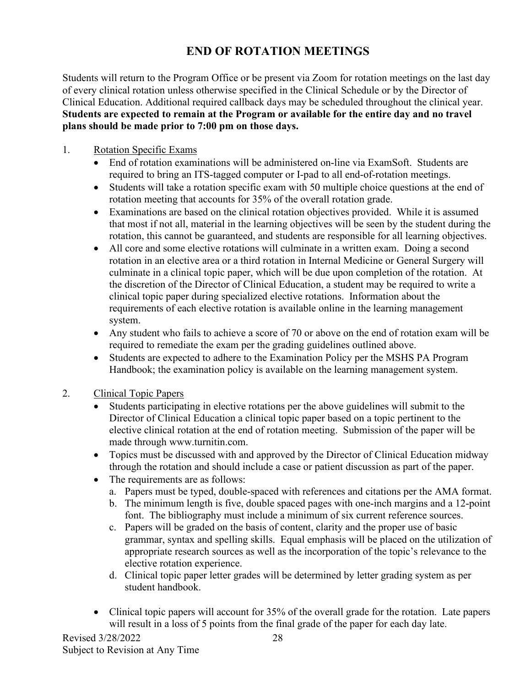### **END OF ROTATION MEETINGS**

Students will return to the Program Office or be present via Zoom for rotation meetings on the last day of every clinical rotation unless otherwise specified in the Clinical Schedule or by the Director of Clinical Education. Additional required callback days may be scheduled throughout the clinical year. **Students are expected to remain at the Program or available for the entire day and no travel plans should be made prior to 7:00 pm on those days.** 

#### 1. Rotation Specific Exams

- End of rotation examinations will be administered on-line via ExamSoft. Students are required to bring an ITS-tagged computer or I-pad to all end-of-rotation meetings.
- Students will take a rotation specific exam with 50 multiple choice questions at the end of rotation meeting that accounts for 35% of the overall rotation grade.
- Examinations are based on the clinical rotation objectives provided. While it is assumed that most if not all, material in the learning objectives will be seen by the student during the rotation, this cannot be guaranteed, and students are responsible for all learning objectives.
- All core and some elective rotations will culminate in a written exam. Doing a second rotation in an elective area or a third rotation in Internal Medicine or General Surgery will culminate in a clinical topic paper, which will be due upon completion of the rotation. At the discretion of the Director of Clinical Education, a student may be required to write a clinical topic paper during specialized elective rotations. Information about the requirements of each elective rotation is available online in the learning management system.
- Any student who fails to achieve a score of 70 or above on the end of rotation exam will be required to remediate the exam per the grading guidelines outlined above.
- Students are expected to adhere to the Examination Policy per the MSHS PA Program Handbook; the examination policy is available on the learning management system.

#### 2. Clinical Topic Papers

- Students participating in elective rotations per the above guidelines will submit to the Director of Clinical Education a clinical topic paper based on a topic pertinent to the elective clinical rotation at the end of rotation meeting. Submission of the paper will be made through www.turnitin.com.
- Topics must be discussed with and approved by the Director of Clinical Education midway through the rotation and should include a case or patient discussion as part of the paper.
- The requirements are as follows:
	- a. Papers must be typed, double-spaced with references and citations per the AMA format.
	- b. The minimum length is five, double spaced pages with one-inch margins and a 12-point font. The bibliography must include a minimum of six current reference sources.
	- c. Papers will be graded on the basis of content, clarity and the proper use of basic grammar, syntax and spelling skills. Equal emphasis will be placed on the utilization of appropriate research sources as well as the incorporation of the topic's relevance to the elective rotation experience.
	- d. Clinical topic paper letter grades will be determined by letter grading system as per student handbook.
- Clinical topic papers will account for 35% of the overall grade for the rotation. Late papers will result in a loss of 5 points from the final grade of the paper for each day late.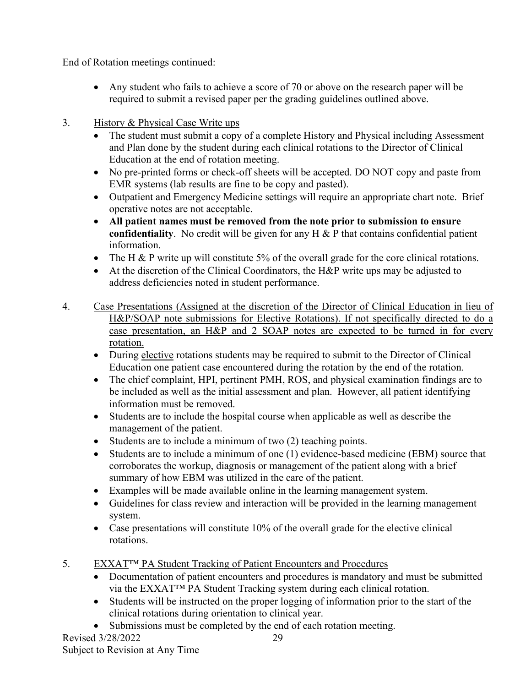End of Rotation meetings continued:

- Any student who fails to achieve a score of 70 or above on the research paper will be required to submit a revised paper per the grading guidelines outlined above.
- 3. History & Physical Case Write ups
	- The student must submit a copy of a complete History and Physical including Assessment and Plan done by the student during each clinical rotations to the Director of Clinical Education at the end of rotation meeting.
	- No pre-printed forms or check-off sheets will be accepted. DO NOT copy and paste from EMR systems (lab results are fine to be copy and pasted).
	- Outpatient and Emergency Medicine settings will require an appropriate chart note. Brief operative notes are not acceptable.
	- **All patient names must be removed from the note prior to submission to ensure confidentiality**. No credit will be given for any H & P that contains confidential patient information.
	- The H & P write up will constitute 5% of the overall grade for the core clinical rotations.
	- At the discretion of the Clinical Coordinators, the H&P write ups may be adjusted to address deficiencies noted in student performance.
- 4. Case Presentations (Assigned at the discretion of the Director of Clinical Education in lieu of H&P/SOAP note submissions for Elective Rotations). If not specifically directed to do a case presentation, an H&P and 2 SOAP notes are expected to be turned in for every rotation.
	- During elective rotations students may be required to submit to the Director of Clinical Education one patient case encountered during the rotation by the end of the rotation.
	- The chief complaint, HPI, pertinent PMH, ROS, and physical examination findings are to be included as well as the initial assessment and plan. However, all patient identifying information must be removed.
	- Students are to include the hospital course when applicable as well as describe the management of the patient.
	- Students are to include a minimum of two (2) teaching points.
	- Students are to include a minimum of one (1) evidence-based medicine (EBM) source that corroborates the workup, diagnosis or management of the patient along with a brief summary of how EBM was utilized in the care of the patient.
	- Examples will be made available online in the learning management system.
	- Guidelines for class review and interaction will be provided in the learning management system.
	- Case presentations will constitute 10% of the overall grade for the elective clinical rotations.
- 5. EXXAT™ PA Student Tracking of Patient Encounters and Procedures
	- Documentation of patient encounters and procedures is mandatory and must be submitted via the EXXAT™ PA Student Tracking system during each clinical rotation.
	- Students will be instructed on the proper logging of information prior to the start of the clinical rotations during orientation to clinical year.
	- Submissions must be completed by the end of each rotation meeting.

Revised 3/28/2022 Subject to Revision at Any Time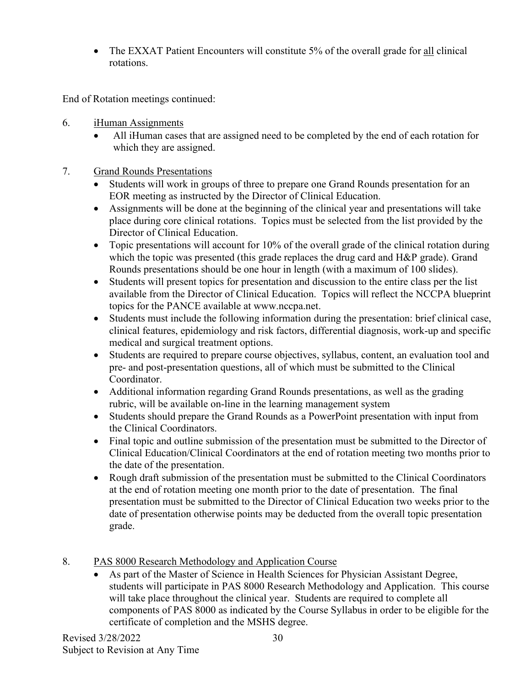• The EXXAT Patient Encounters will constitute 5% of the overall grade for all clinical rotations.

End of Rotation meetings continued:

- 6. iHuman Assignments
	- All iHuman cases that are assigned need to be completed by the end of each rotation for which they are assigned.
- 7. Grand Rounds Presentations
	- Students will work in groups of three to prepare one Grand Rounds presentation for an EOR meeting as instructed by the Director of Clinical Education.
	- Assignments will be done at the beginning of the clinical year and presentations will take place during core clinical rotations. Topics must be selected from the list provided by the Director of Clinical Education.
	- Topic presentations will account for 10% of the overall grade of the clinical rotation during which the topic was presented (this grade replaces the drug card and H&P grade). Grand Rounds presentations should be one hour in length (with a maximum of 100 slides).
	- Students will present topics for presentation and discussion to the entire class per the list available from the Director of Clinical Education. Topics will reflect the NCCPA blueprint topics for the PANCE available at www.nccpa.net.
	- Students must include the following information during the presentation: brief clinical case, clinical features, epidemiology and risk factors, differential diagnosis, work-up and specific medical and surgical treatment options.
	- Students are required to prepare course objectives, syllabus, content, an evaluation tool and pre- and post-presentation questions, all of which must be submitted to the Clinical Coordinator.
	- Additional information regarding Grand Rounds presentations, as well as the grading rubric, will be available on-line in the learning management system
	- Students should prepare the Grand Rounds as a PowerPoint presentation with input from the Clinical Coordinators.
	- Final topic and outline submission of the presentation must be submitted to the Director of Clinical Education/Clinical Coordinators at the end of rotation meeting two months prior to the date of the presentation.
	- Rough draft submission of the presentation must be submitted to the Clinical Coordinators at the end of rotation meeting one month prior to the date of presentation. The final presentation must be submitted to the Director of Clinical Education two weeks prior to the date of presentation otherwise points may be deducted from the overall topic presentation grade.
- 8. PAS 8000 Research Methodology and Application Course
	- As part of the Master of Science in Health Sciences for Physician Assistant Degree, students will participate in PAS 8000 Research Methodology and Application. This course will take place throughout the clinical year. Students are required to complete all components of PAS 8000 as indicated by the Course Syllabus in order to be eligible for the certificate of completion and the MSHS degree.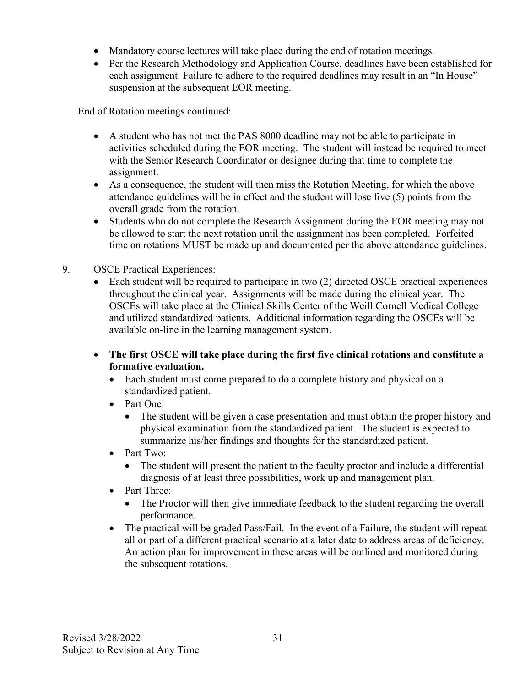- Mandatory course lectures will take place during the end of rotation meetings.
- Per the Research Methodology and Application Course, deadlines have been established for each assignment. Failure to adhere to the required deadlines may result in an "In House" suspension at the subsequent EOR meeting.

End of Rotation meetings continued:

- A student who has not met the PAS 8000 deadline may not be able to participate in activities scheduled during the EOR meeting. The student will instead be required to meet with the Senior Research Coordinator or designee during that time to complete the assignment.
- As a consequence, the student will then miss the Rotation Meeting, for which the above attendance guidelines will be in effect and the student will lose five (5) points from the overall grade from the rotation.
- Students who do not complete the Research Assignment during the EOR meeting may not be allowed to start the next rotation until the assignment has been completed. Forfeited time on rotations MUST be made up and documented per the above attendance guidelines.

#### 9. OSCE Practical Experiences:

- Each student will be required to participate in two (2) directed OSCE practical experiences throughout the clinical year. Assignments will be made during the clinical year. The OSCEs will take place at the Clinical Skills Center of the Weill Cornell Medical College and utilized standardized patients. Additional information regarding the OSCEs will be available on-line in the learning management system.
- **The first OSCE will take place during the first five clinical rotations and constitute a formative evaluation.**
	- Each student must come prepared to do a complete history and physical on a standardized patient.
	- Part One:
		- The student will be given a case presentation and must obtain the proper history and physical examination from the standardized patient. The student is expected to summarize his/her findings and thoughts for the standardized patient.
	- Part Two:
		- The student will present the patient to the faculty proctor and include a differential diagnosis of at least three possibilities, work up and management plan.
	- Part Three:
		- The Proctor will then give immediate feedback to the student regarding the overall performance.
	- The practical will be graded Pass/Fail. In the event of a Failure, the student will repeat all or part of a different practical scenario at a later date to address areas of deficiency. An action plan for improvement in these areas will be outlined and monitored during the subsequent rotations.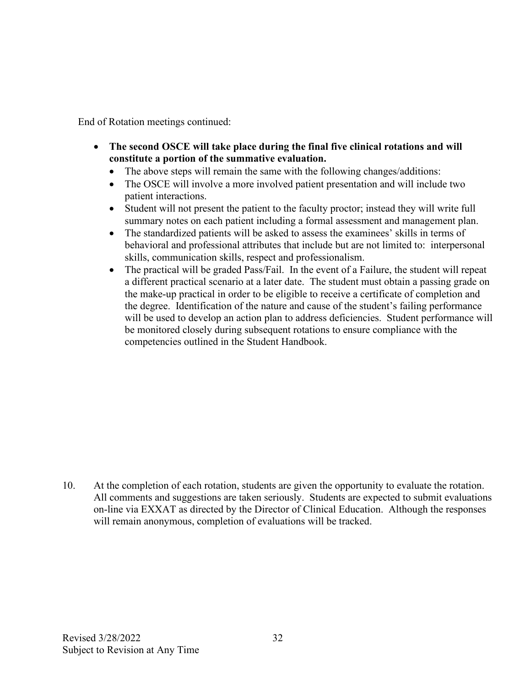End of Rotation meetings continued:

- **The second OSCE will take place during the final five clinical rotations and will constitute a portion of the summative evaluation.**
	- The above steps will remain the same with the following changes/additions:
	- The OSCE will involve a more involved patient presentation and will include two patient interactions.
	- Student will not present the patient to the faculty proctor; instead they will write full summary notes on each patient including a formal assessment and management plan.
	- The standardized patients will be asked to assess the examinees' skills in terms of behavioral and professional attributes that include but are not limited to: interpersonal skills, communication skills, respect and professionalism.
	- The practical will be graded Pass/Fail. In the event of a Failure, the student will repeat a different practical scenario at a later date. The student must obtain a passing grade on the make-up practical in order to be eligible to receive a certificate of completion and the degree. Identification of the nature and cause of the student's failing performance will be used to develop an action plan to address deficiencies. Student performance will be monitored closely during subsequent rotations to ensure compliance with the competencies outlined in the Student Handbook.

10. At the completion of each rotation, students are given the opportunity to evaluate the rotation. All comments and suggestions are taken seriously. Students are expected to submit evaluations on-line via EXXAT as directed by the Director of Clinical Education. Although the responses will remain anonymous, completion of evaluations will be tracked.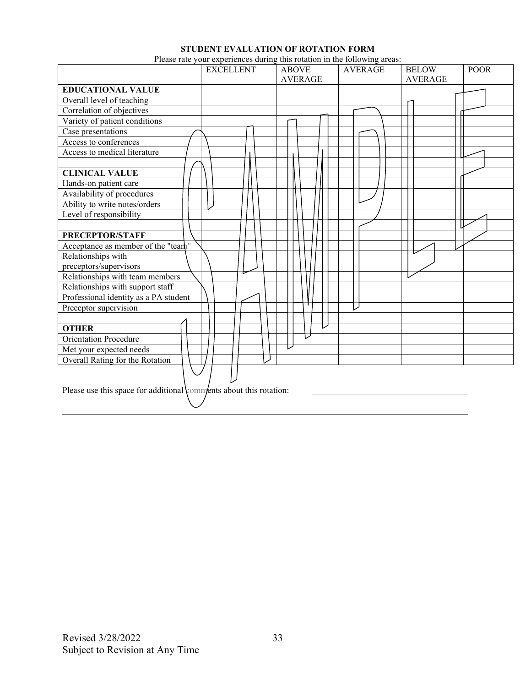#### **STUDENT EVALUATION OF ROTATION FORM**

Please rate your experiences during this rotation in the following areas:

|                                                                    | <b>EXCELLENT</b> | <b>ABOVE</b>   | <b>AVERAGE</b> | <b>BELOW</b>   | <b>POOR</b> |
|--------------------------------------------------------------------|------------------|----------------|----------------|----------------|-------------|
|                                                                    |                  | <b>AVERAGE</b> |                | <b>AVERAGE</b> |             |
| <b>EDUCATIONAL VALUE</b>                                           |                  |                |                |                |             |
| Overall level of teaching                                          |                  |                |                |                |             |
| Correlation of objectives                                          |                  |                |                |                |             |
| Variety of patient conditions                                      |                  |                |                |                |             |
| Case presentations                                                 |                  |                |                |                |             |
| Access to conferences                                              |                  |                |                |                |             |
| Access to medical literature                                       |                  |                |                |                |             |
|                                                                    |                  |                |                |                |             |
| <b>CLINICAL VALUE</b>                                              |                  |                |                |                |             |
| Hands-on patient care                                              |                  |                |                |                |             |
| Availability of procedures                                         |                  |                |                |                |             |
| Ability to write notes/orders                                      |                  |                |                |                |             |
| Level of responsibility                                            |                  |                |                |                |             |
|                                                                    |                  |                |                |                |             |
| PRECEPTOR/STAFF                                                    |                  |                |                |                |             |
| Acceptance as member of the "team"                                 |                  |                |                |                |             |
| Relationships with                                                 |                  |                |                |                |             |
| preceptors/supervisors                                             |                  |                |                |                |             |
| Relationships with team members                                    |                  |                |                |                |             |
| Relationships with support staff                                   |                  |                |                |                |             |
| Professional identity as a PA student                              |                  |                |                |                |             |
| Preceptor supervision                                              |                  |                |                |                |             |
|                                                                    |                  |                |                |                |             |
| <b>OTHER</b>                                                       |                  |                |                |                |             |
| <b>Orientation Procedure</b>                                       |                  |                |                |                |             |
| Met your expected needs                                            |                  |                |                |                |             |
| Overall Rating for the Rotation                                    |                  |                |                |                |             |
| Please use this space for additional comments about this rotation: |                  |                |                |                |             |

l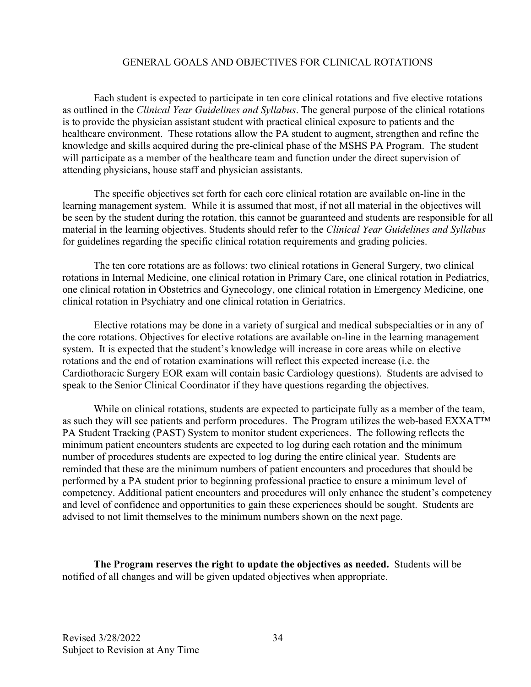#### GENERAL GOALS AND OBJECTIVES FOR CLINICAL ROTATIONS

Each student is expected to participate in ten core clinical rotations and five elective rotations as outlined in the *Clinical Year Guidelines and Syllabus*. The general purpose of the clinical rotations is to provide the physician assistant student with practical clinical exposure to patients and the healthcare environment. These rotations allow the PA student to augment, strengthen and refine the knowledge and skills acquired during the pre-clinical phase of the MSHS PA Program. The student will participate as a member of the healthcare team and function under the direct supervision of attending physicians, house staff and physician assistants.

The specific objectives set forth for each core clinical rotation are available on-line in the learning management system. While it is assumed that most, if not all material in the objectives will be seen by the student during the rotation, this cannot be guaranteed and students are responsible for all material in the learning objectives. Students should refer to the *Clinical Year Guidelines and Syllabus*  for guidelines regarding the specific clinical rotation requirements and grading policies.

The ten core rotations are as follows: two clinical rotations in General Surgery, two clinical rotations in Internal Medicine, one clinical rotation in Primary Care, one clinical rotation in Pediatrics, one clinical rotation in Obstetrics and Gynecology, one clinical rotation in Emergency Medicine, one clinical rotation in Psychiatry and one clinical rotation in Geriatrics.

Elective rotations may be done in a variety of surgical and medical subspecialties or in any of the core rotations. Objectives for elective rotations are available on-line in the learning management system. It is expected that the student's knowledge will increase in core areas while on elective rotations and the end of rotation examinations will reflect this expected increase (i.e. the Cardiothoracic Surgery EOR exam will contain basic Cardiology questions). Students are advised to speak to the Senior Clinical Coordinator if they have questions regarding the objectives.

While on clinical rotations, students are expected to participate fully as a member of the team, as such they will see patients and perform procedures. The Program utilizes the web-based EXXAT™ PA Student Tracking (PAST) System to monitor student experiences. The following reflects the minimum patient encounters students are expected to log during each rotation and the minimum number of procedures students are expected to log during the entire clinical year. Students are reminded that these are the minimum numbers of patient encounters and procedures that should be performed by a PA student prior to beginning professional practice to ensure a minimum level of competency. Additional patient encounters and procedures will only enhance the student's competency and level of confidence and opportunities to gain these experiences should be sought. Students are advised to not limit themselves to the minimum numbers shown on the next page.

**The Program reserves the right to update the objectives as needed.** Students will be notified of all changes and will be given updated objectives when appropriate.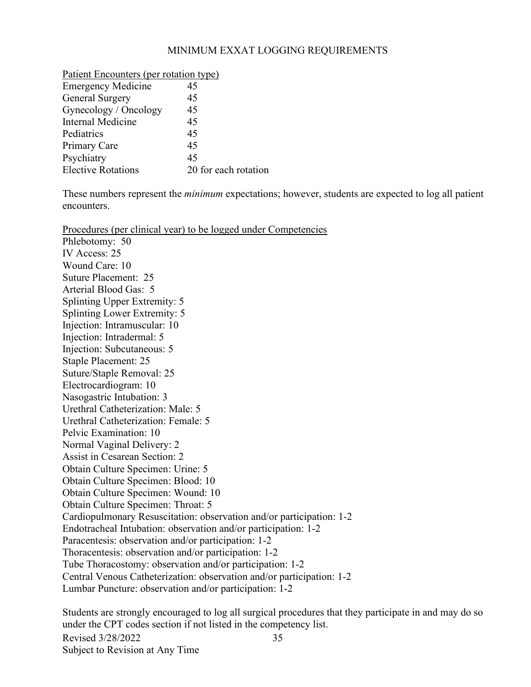#### MINIMUM EXXAT LOGGING REQUIREMENTS

| Patient Encounters (per rotation type) |
|----------------------------------------|
| 45                                     |
| 45                                     |
| 45                                     |
| 45                                     |
| 45                                     |
| 45                                     |
| 45                                     |
| 20 for each rotation                   |
|                                        |

Patient Encounters (per rotation type)

These numbers represent the *minimum* expectations; however, students are expected to log all patient encounters.

Procedures (per clinical year) to be logged under Competencies

Phlebotomy: 50 IV Access: 25 Wound Care: 10 Suture Placement: 25 Arterial Blood Gas: 5 Splinting Upper Extremity: 5 Splinting Lower Extremity: 5 Injection: Intramuscular: 10 Injection: Intradermal: 5 Injection: Subcutaneous: 5 Staple Placement: 25 Suture/Staple Removal: 25 Electrocardiogram: 10 Nasogastric Intubation: 3 Urethral Catheterization: Male: 5 Urethral Catheterization: Female: 5 Pelvic Examination: 10 Normal Vaginal Delivery: 2 Assist in Cesarean Section: 2 Obtain Culture Specimen: Urine: 5 Obtain Culture Specimen: Blood: 10 Obtain Culture Specimen: Wound: 10 Obtain Culture Specimen: Throat: 5 Cardiopulmonary Resuscitation: observation and/or participation: 1-2 Endotracheal Intubation: observation and/or participation: 1-2 Paracentesis: observation and/or participation: 1-2 Thoracentesis: observation and/or participation: 1-2 Tube Thoracostomy: observation and/or participation: 1-2 Central Venous Catheterization: observation and/or participation: 1-2 Lumbar Puncture: observation and/or participation: 1-2

Revised 3/28/2022 Subject to Revision at Any Time 35 Students are strongly encouraged to log all surgical procedures that they participate in and may do so under the CPT codes section if not listed in the competency list.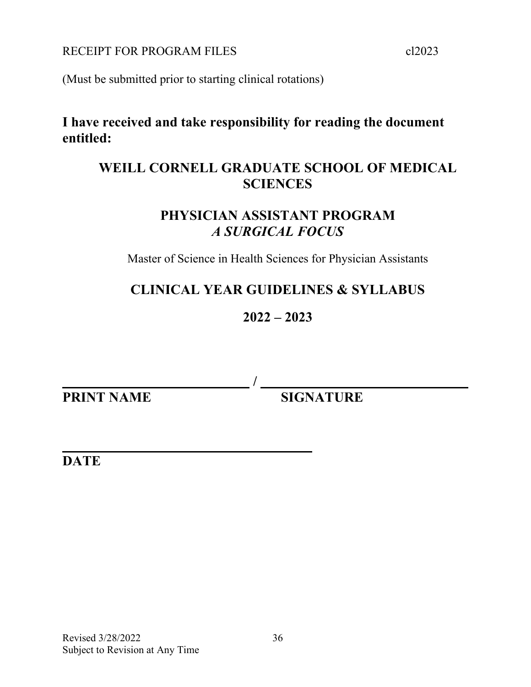RECEIPT FOR PROGRAM FILES cl2023

(Must be submitted prior to starting clinical rotations)

### **I have received and take responsibility for reading the document entitled:**

### **WEILL CORNELL GRADUATE SCHOOL OF MEDICAL SCIENCES**

### **PHYSICIAN ASSISTANT PROGRAM** *A SURGICAL FOCUS*

Master of Science in Health Sciences for Physician Assistants

### **CLINICAL YEAR GUIDELINES & SYLLABUS**

### **2022 – 2023**

 **/ PRINT NAME SIGNATURE** 

**DATE**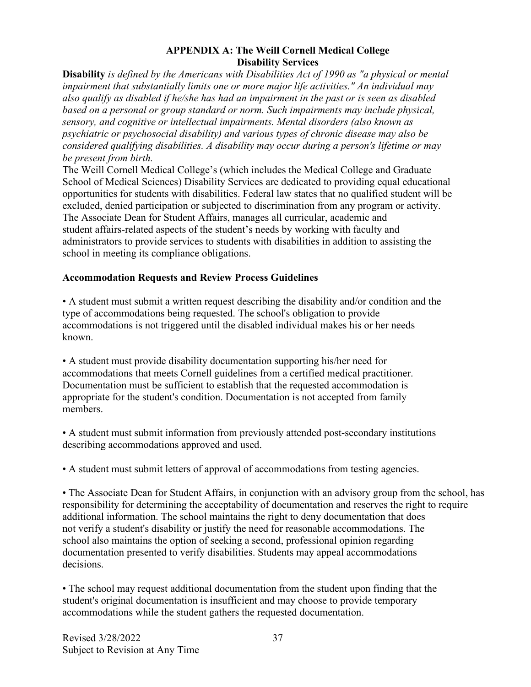#### **APPENDIX A: The Weill Cornell Medical College Disability Services**

**Disability** *is defined by the Americans with Disabilities Act of 1990 as "a physical or mental impairment that substantially limits one or more major life activities." An individual may also qualify as disabled if he/she has had an impairment in the past or is seen as disabled based on a personal or group standard or norm. Such impairments may include physical, sensory, and cognitive or intellectual impairments. Mental disorders (also known as psychiatric or psychosocial disability) and various types of chronic disease may also be considered qualifying disabilities. A disability may occur during a person's lifetime or may be present from birth.*

The Weill Cornell Medical College's (which includes the Medical College and Graduate School of Medical Sciences) Disability Services are dedicated to providing equal educational opportunities for students with disabilities. Federal law states that no qualified student will be excluded, denied participation or subjected to discrimination from any program or activity. The Associate Dean for Student Affairs, manages all curricular, academic and student affairs-related aspects of the student's needs by working with faculty and administrators to provide services to students with disabilities in addition to assisting the school in meeting its compliance obligations.

#### **Accommodation Requests and Review Process Guidelines**

• A student must submit a written request describing the disability and/or condition and the type of accommodations being requested. The school's obligation to provide accommodations is not triggered until the disabled individual makes his or her needs known.

• A student must provide disability documentation supporting his/her need for accommodations that meets Cornell guidelines from a certified medical practitioner. Documentation must be sufficient to establish that the requested accommodation is appropriate for the student's condition. Documentation is not accepted from family members.

• A student must submit information from previously attended post-secondary institutions describing accommodations approved and used.

• A student must submit letters of approval of accommodations from testing agencies.

• The Associate Dean for Student Affairs, in conjunction with an advisory group from the school, has responsibility for determining the acceptability of documentation and reserves the right to require additional information. The school maintains the right to deny documentation that does not verify a student's disability or justify the need for reasonable accommodations. The school also maintains the option of seeking a second, professional opinion regarding documentation presented to verify disabilities. Students may appeal accommodations decisions.

• The school may request additional documentation from the student upon finding that the student's original documentation is insufficient and may choose to provide temporary accommodations while the student gathers the requested documentation.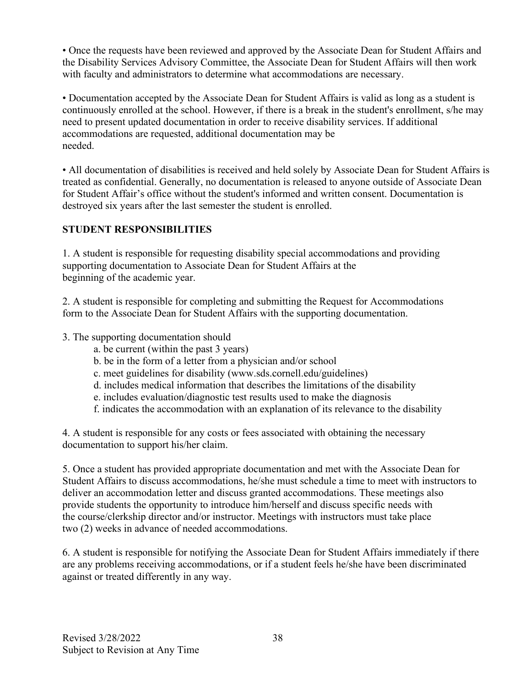• Once the requests have been reviewed and approved by the Associate Dean for Student Affairs and the Disability Services Advisory Committee, the Associate Dean for Student Affairs will then work with faculty and administrators to determine what accommodations are necessary.

• Documentation accepted by the Associate Dean for Student Affairs is valid as long as a student is continuously enrolled at the school. However, if there is a break in the student's enrollment, s/he may need to present updated documentation in order to receive disability services. If additional accommodations are requested, additional documentation may be needed.

• All documentation of disabilities is received and held solely by Associate Dean for Student Affairs is treated as confidential. Generally, no documentation is released to anyone outside of Associate Dean for Student Affair's office without the student's informed and written consent. Documentation is destroyed six years after the last semester the student is enrolled.

#### **STUDENT RESPONSIBILITIES**

1. A student is responsible for requesting disability special accommodations and providing supporting documentation to Associate Dean for Student Affairs at the beginning of the academic year.

2. A student is responsible for completing and submitting the Request for Accommodations form to the Associate Dean for Student Affairs with the supporting documentation.

#### 3. The supporting documentation should

- a. be current (within the past 3 years)
- b. be in the form of a letter from a physician and/or school
- c. meet guidelines for disability (www.sds.cornell.edu/guidelines)
- d. includes medical information that describes the limitations of the disability
- e. includes evaluation/diagnostic test results used to make the diagnosis
- f. indicates the accommodation with an explanation of its relevance to the disability

4. A student is responsible for any costs or fees associated with obtaining the necessary documentation to support his/her claim.

5. Once a student has provided appropriate documentation and met with the Associate Dean for Student Affairs to discuss accommodations, he/she must schedule a time to meet with instructors to deliver an accommodation letter and discuss granted accommodations. These meetings also provide students the opportunity to introduce him/herself and discuss specific needs with the course/clerkship director and/or instructor. Meetings with instructors must take place two (2) weeks in advance of needed accommodations.

6. A student is responsible for notifying the Associate Dean for Student Affairs immediately if there are any problems receiving accommodations, or if a student feels he/she have been discriminated against or treated differently in any way.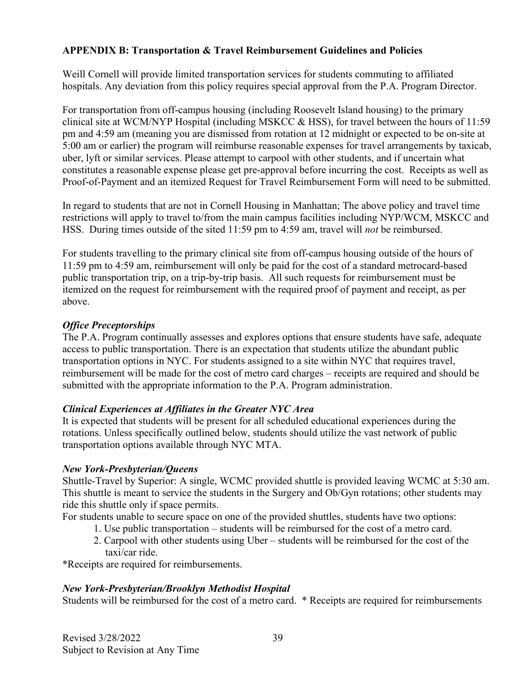#### **APPENDIX B: Transportation & Travel Reimbursement Guidelines and Policies**

Weill Cornell will provide limited transportation services for students commuting to affiliated hospitals. Any deviation from this policy requires special approval from the P.A. Program Director.

For transportation from off-campus housing (including Roosevelt Island housing) to the primary clinical site at WCM/NYP Hospital (including MSKCC & HSS), for travel between the hours of 11:59 pm and 4:59 am (meaning you are dismissed from rotation at 12 midnight or expected to be on-site at 5:00 am or earlier) the program will reimburse reasonable expenses for travel arrangements by taxicab, uber, lyft or similar services. Please attempt to carpool with other students, and if uncertain what constitutes a reasonable expense please get pre-approval before incurring the cost. Receipts as well as Proof-of-Payment and an itemized Request for Travel Reimbursement Form will need to be submitted.

In regard to students that are not in Cornell Housing in Manhattan; The above policy and travel time restrictions will apply to travel to/from the main campus facilities including NYP/WCM, MSKCC and HSS. During times outside of the sited 11:59 pm to 4:59 am, travel will *not* be reimbursed.

For students travelling to the primary clinical site from off-campus housing outside of the hours of 11:59 pm to 4:59 am, reimbursement will only be paid for the cost of a standard metrocard-based public transportation trip, on a trip-by-trip basis. All such requests for reimbursement must be itemized on the request for reimbursement with the required proof of payment and receipt, as per above.

#### *Office Preceptorships*

The P.A. Program continually assesses and explores options that ensure students have safe, adequate access to public transportation. There is an expectation that students utilize the abundant public transportation options in NYC. For students assigned to a site within NYC that requires travel, reimbursement will be made for the cost of metro card charges – receipts are required and should be submitted with the appropriate information to the P.A. Program administration.

#### *Clinical Experiences at Affiliates in the Greater NYC Area*

It is expected that students will be present for all scheduled educational experiences during the rotations. Unless specifically outlined below, students should utilize the vast network of public transportation options available through NYC MTA.

#### *New York-Presbyterian/Queens*

Shuttle-Travel by Superior: A single, WCMC provided shuttle is provided leaving WCMC at 5:30 am. This shuttle is meant to service the students in the Surgery and Ob/Gyn rotations; other students may ride this shuttle only if space permits.

For students unable to secure space on one of the provided shuttles, students have two options:

- 1. Use public transportation students will be reimbursed for the cost of a metro card.
- 2. Carpool with other students using Uber students will be reimbursed for the cost of the taxi/car ride.

\*Receipts are required for reimbursements.

#### *New York-Presbyterian/Brooklyn Methodist Hospital*

Students will be reimbursed for the cost of a metro card. \* Receipts are required for reimbursements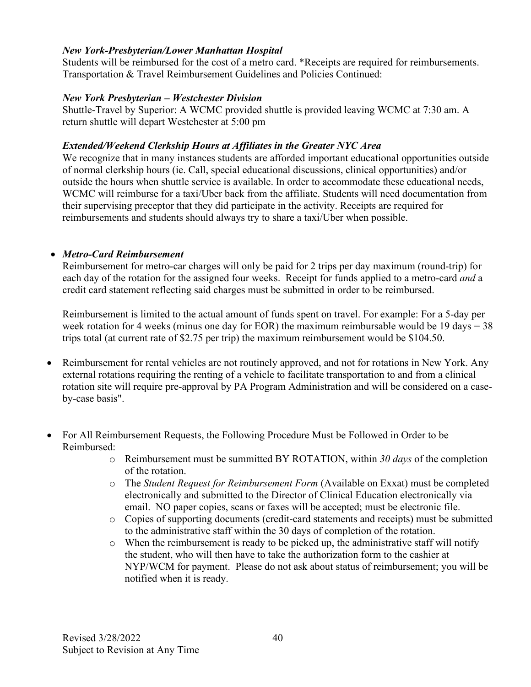#### *New York-Presbyterian/Lower Manhattan Hospital*

Students will be reimbursed for the cost of a metro card. \*Receipts are required for reimbursements. Transportation & Travel Reimbursement Guidelines and Policies Continued:

#### *New York Presbyterian – Westchester Division*

Shuttle-Travel by Superior: A WCMC provided shuttle is provided leaving WCMC at 7:30 am. A return shuttle will depart Westchester at 5:00 pm

#### *Extended/Weekend Clerkship Hours at Affiliates in the Greater NYC Area*

We recognize that in many instances students are afforded important educational opportunities outside of normal clerkship hours (ie. Call, special educational discussions, clinical opportunities) and/or outside the hours when shuttle service is available. In order to accommodate these educational needs, WCMC will reimburse for a taxi/Uber back from the affiliate. Students will need documentation from their supervising preceptor that they did participate in the activity. Receipts are required for reimbursements and students should always try to share a taxi/Uber when possible.

#### • *Metro-Card Reimbursement*

Reimbursement for metro-car charges will only be paid for 2 trips per day maximum (round-trip) for each day of the rotation for the assigned four weeks. Receipt for funds applied to a metro-card *and* a credit card statement reflecting said charges must be submitted in order to be reimbursed.

Reimbursement is limited to the actual amount of funds spent on travel. For example: For a 5-day per week rotation for 4 weeks (minus one day for EOR) the maximum reimbursable would be 19 days =  $38$ trips total (at current rate of \$2.75 per trip) the maximum reimbursement would be \$104.50.

- Reimbursement for rental vehicles are not routinely approved, and not for rotations in New York. Any external rotations requiring the renting of a vehicle to facilitate transportation to and from a clinical rotation site will require pre-approval by PA Program Administration and will be considered on a caseby-case basis".
- For All Reimbursement Requests, the Following Procedure Must be Followed in Order to be Reimbursed:
	- o Reimbursement must be summitted BY ROTATION, within *30 days* of the completion of the rotation.
	- o The *Student Request for Reimbursement Form* (Available on Exxat) must be completed electronically and submitted to the Director of Clinical Education electronically via email. NO paper copies, scans or faxes will be accepted; must be electronic file.
	- o Copies of supporting documents (credit-card statements and receipts) must be submitted to the administrative staff within the 30 days of completion of the rotation.
	- o When the reimbursement is ready to be picked up, the administrative staff will notify the student, who will then have to take the authorization form to the cashier at NYP/WCM for payment. Please do not ask about status of reimbursement; you will be notified when it is ready.